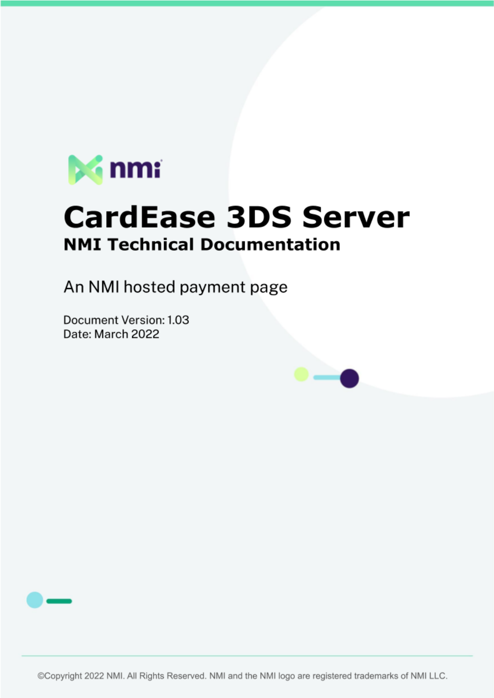

# **CardEase 3DS Server NMI Technical Documentation**

An NMI hosted payment page

Document Version: 1.03 Date: March 2022



©Copyright 2022 NMI. All Rights Reserved. NMI and the NMI logo are registered trademarks of NMI LLC.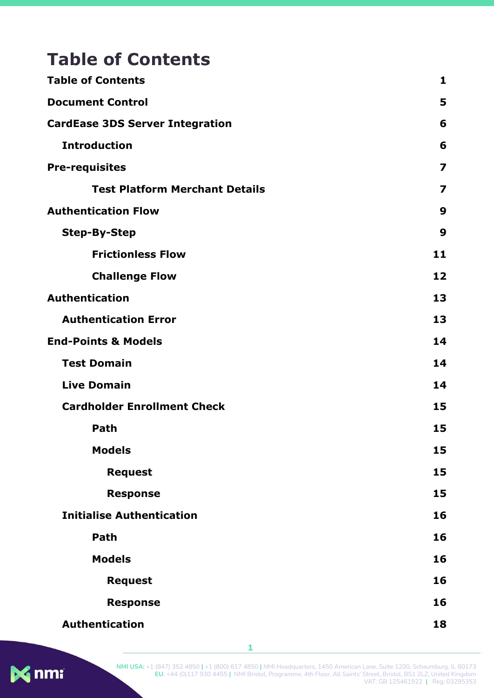# <span id="page-1-0"></span>**Table of Contents**

| <b>Table of Contents</b>               | 1                       |
|----------------------------------------|-------------------------|
| <b>Document Control</b>                | 5                       |
| <b>CardEase 3DS Server Integration</b> | 6                       |
| <b>Introduction</b>                    | 6                       |
| <b>Pre-requisites</b>                  | $\overline{\mathbf{z}}$ |
| <b>Test Platform Merchant Details</b>  | 7                       |
| <b>Authentication Flow</b>             | 9                       |
| <b>Step-By-Step</b>                    | 9                       |
| <b>Frictionless Flow</b>               | 11                      |
| <b>Challenge Flow</b>                  | 12                      |
| <b>Authentication</b>                  | 13                      |
| <b>Authentication Error</b>            | 13                      |
| <b>End-Points &amp; Models</b>         | 14                      |
| <b>Test Domain</b>                     | 14                      |
| <b>Live Domain</b>                     | 14                      |
| <b>Cardholder Enrollment Check</b>     | 15                      |
| Path                                   | 15                      |
| <b>Models</b>                          | 15                      |
| <b>Request</b>                         | 15                      |
| <b>Response</b>                        | 15                      |
| <b>Initialise Authentication</b>       | 16                      |
| Path                                   | 16                      |
| <b>Models</b>                          | 16                      |
| <b>Request</b>                         | 16                      |
| <b>Response</b>                        | 16                      |
| <b>Authentication</b>                  | 18                      |



**1**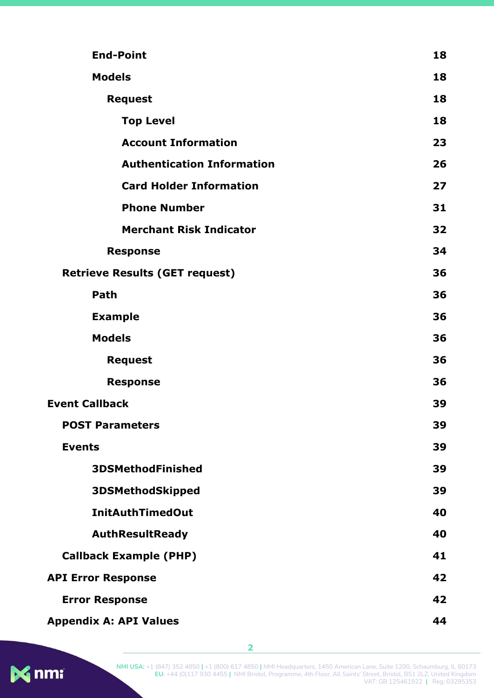| <b>End-Point</b>                      | 18 |
|---------------------------------------|----|
| <b>Models</b>                         |    |
| <b>Request</b>                        | 18 |
| <b>Top Level</b>                      | 18 |
| <b>Account Information</b>            | 23 |
| <b>Authentication Information</b>     | 26 |
| <b>Card Holder Information</b>        | 27 |
| <b>Phone Number</b>                   | 31 |
| <b>Merchant Risk Indicator</b>        | 32 |
| <b>Response</b>                       | 34 |
| <b>Retrieve Results (GET request)</b> | 36 |
| Path                                  | 36 |
| <b>Example</b>                        | 36 |
| <b>Models</b>                         | 36 |
| <b>Request</b>                        | 36 |
| <b>Response</b>                       | 36 |
| <b>Event Callback</b>                 | 39 |
| <b>POST Parameters</b>                | 39 |
| <b>Events</b>                         | 39 |
| <b>3DSMethodFinished</b>              | 39 |
| <b>3DSMethodSkipped</b>               | 39 |
| <b>InitAuthTimedOut</b>               | 40 |
| <b>AuthResultReady</b>                | 40 |
| <b>Callback Example (PHP)</b>         | 41 |
| <b>API Error Response</b>             | 42 |
| <b>Error Response</b>                 | 42 |
| <b>Appendix A: API Values</b>         | 44 |



**2**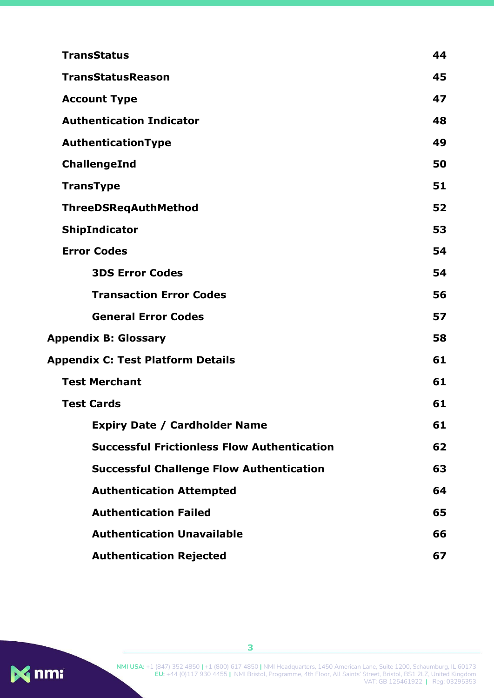| <b>TransStatus</b>                                 | 44 |
|----------------------------------------------------|----|
| <b>TransStatusReason</b>                           | 45 |
| <b>Account Type</b>                                | 47 |
| <b>Authentication Indicator</b>                    | 48 |
| AuthenticationType                                 | 49 |
| ChallengeInd                                       | 50 |
| <b>TransType</b>                                   | 51 |
| ThreeDSReqAuthMethod                               | 52 |
| ShipIndicator                                      | 53 |
| <b>Error Codes</b>                                 | 54 |
| <b>3DS Error Codes</b>                             | 54 |
| <b>Transaction Error Codes</b>                     | 56 |
| <b>General Error Codes</b>                         | 57 |
| <b>Appendix B: Glossary</b>                        | 58 |
| <b>Appendix C: Test Platform Details</b>           | 61 |
| <b>Test Merchant</b>                               | 61 |
| <b>Test Cards</b>                                  | 61 |
| <b>Expiry Date / Cardholder Name</b>               | 61 |
| <b>Successful Frictionless Flow Authentication</b> | 62 |
| <b>Successful Challenge Flow Authentication</b>    | 63 |
| <b>Authentication Attempted</b>                    | 64 |
| <b>Authentication Failed</b>                       | 65 |
| <b>Authentication Unavailable</b>                  | 66 |
| <b>Authentication Rejected</b>                     | 67 |

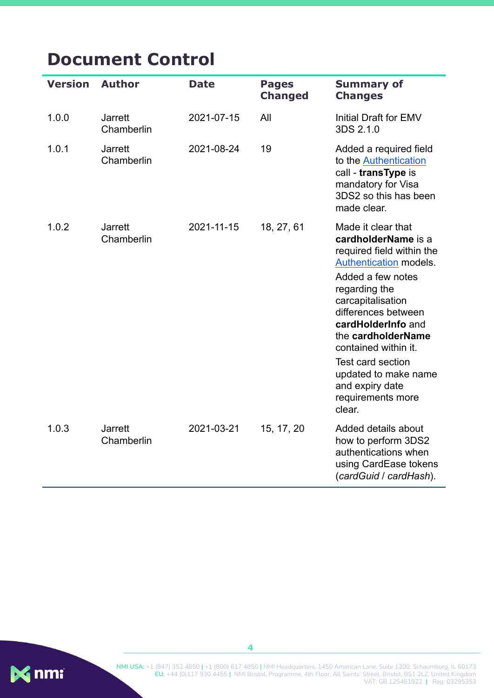# <span id="page-4-0"></span>**Document Control**

| <b>Version</b> | <b>Author</b>                | <b>Date</b> | <b>Pages</b><br><b>Changed</b> | <b>Summary of</b><br><b>Changes</b>                                                                                                                                                                                                                                                                                                                   |
|----------------|------------------------------|-------------|--------------------------------|-------------------------------------------------------------------------------------------------------------------------------------------------------------------------------------------------------------------------------------------------------------------------------------------------------------------------------------------------------|
| 1.0.0          | <b>Jarrett</b><br>Chamberlin | 2021-07-15  | All                            | Initial Draft for EMV<br>3DS 2.1.0                                                                                                                                                                                                                                                                                                                    |
| 1.0.1          | <b>Jarrett</b><br>Chamberlin | 2021-08-24  | 19                             | Added a required field<br>to the Authentication<br>call - transType is<br>mandatory for Visa<br>3DS2 so this has been<br>made clear.                                                                                                                                                                                                                  |
| 1.0.2          | <b>Jarrett</b><br>Chamberlin | 2021-11-15  | 18, 27, 61                     | Made it clear that<br>cardholderName is a<br>required field within the<br>Authentication models.<br>Added a few notes<br>regarding the<br>carcapitalisation<br>differences between<br>cardHolderInfo and<br>the cardholderName<br>contained within it.<br>Test card section<br>updated to make name<br>and expiry date<br>requirements more<br>clear. |
| 1.0.3          | <b>Jarrett</b><br>Chamberlin | 2021-03-21  | 15, 17, 20                     | Added details about<br>how to perform 3DS2<br>authentications when<br>using CardEase tokens<br>(cardGuid / cardHash).                                                                                                                                                                                                                                 |



**NMI USA:** +1 (847) 352 4850 **|** +1 (800) 617 4850 **|** NMI Headquarters, 1450 American Lane, Suite 1200, Schaumburg, IL 60173 **EU:** +44 (0)117 930 4455 **|** NMI Bristol, Programme, 4th Floor, All Saints' Street, Bristol, BS1 2LZ, United Kingdom VAT: GB 125461922 **|** Reg: 03295353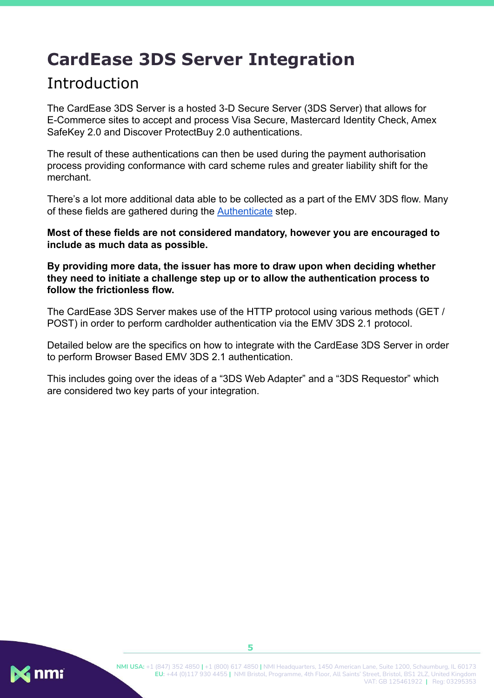# <span id="page-5-0"></span>**CardEase 3DS Server Integration**

## <span id="page-5-1"></span>Introduction

The CardEase 3DS Server is a hosted 3-D Secure Server (3DS Server) that allows for E-Commerce sites to accept and process Visa Secure, Mastercard Identity Check, Amex SafeKey 2.0 and Discover ProtectBuy 2.0 authentications.

The result of these authentications can then be used during the payment authorisation process providing conformance with card scheme rules and greater liability shift for the merchant.

There's a lot more additional data able to be collected as a part of the EMV 3DS flow. Many of these fields are gathered during the [Authenticate](#page-19-0) step.

**Most of these fields are not considered mandatory, however you are encouraged to include as much data as possible.**

**By providing more data, the issuer has more to draw upon when deciding whether they need to initiate a challenge step up or to allow the authentication process to follow the frictionless flow.**

The CardEase 3DS Server makes use of the HTTP protocol using various methods (GET / POST) in order to perform cardholder authentication via the EMV 3DS 2.1 protocol.

Detailed below are the specifics on how to integrate with the CardEase 3DS Server in order to perform Browser Based EMV 3DS 2.1 authentication.

This includes going over the ideas of a "3DS Web Adapter" and a "3DS Requestor" which are considered two key parts of your integration.

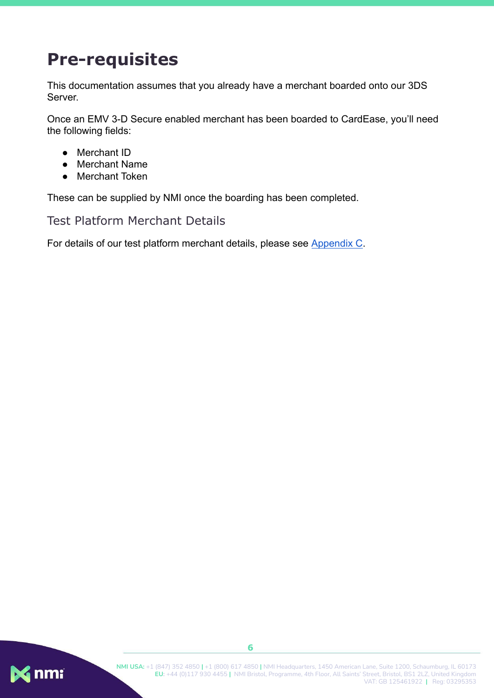# <span id="page-6-0"></span>**Pre-requisites**

This documentation assumes that you already have a merchant boarded onto our 3DS Server.

Once an EMV 3-D Secure enabled merchant has been boarded to CardEase, you'll need the following fields:

- Merchant ID
- Merchant Name
- Merchant Token

These can be supplied by NMI once the boarding has been completed.

<span id="page-6-1"></span>Test Platform Merchant Details

For details of our test platform merchant details, please see [Appendix C.](#page-59-0)

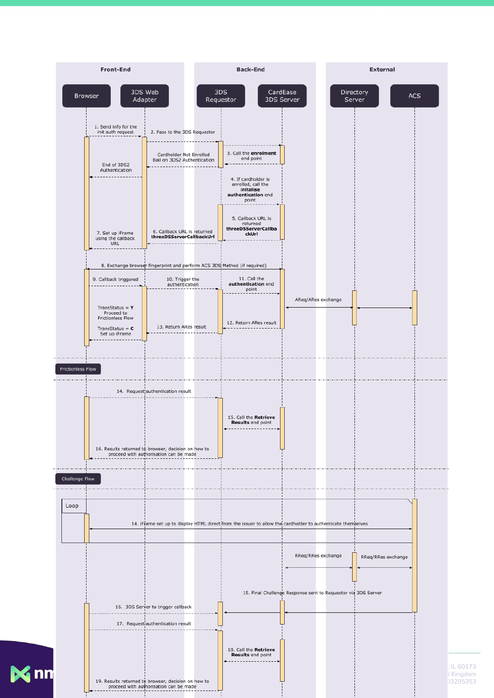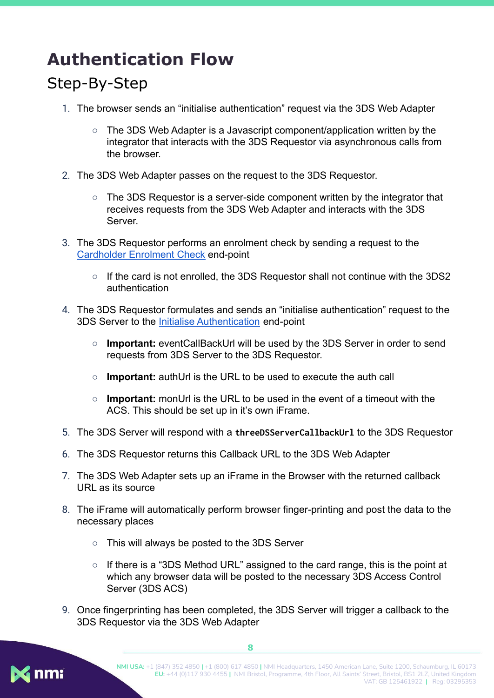# <span id="page-8-0"></span>**Authentication Flow**

# <span id="page-8-1"></span>Step-By-Step

- 1. The browser sends an "initialise authentication" request via the 3DS Web Adapter
	- The 3DS Web Adapter is a Javascript component/application written by the integrator that interacts with the 3DS Requestor via asynchronous calls from the browser.
- 2. The 3DS Web Adapter passes on the request to the 3DS Requestor.
	- $\circ$  The 3DS Requestor is a server-side component written by the integrator that receives requests from the 3DS Web Adapter and interacts with the 3DS Server.
- 3. The 3DS Requestor performs an enrolment check by sending a request to the [Cardholder Enrolment Check](#page-14-0) end-point
	- If the card is not enrolled, the 3DS Requestor shall not continue with the 3DS2 authentication
- 4. The 3DS Requestor formulates and sends an "initialise authentication" request to the 3DS Server to the [Initialise Authentication](#page-16-0) end-point
	- **Important:** eventCallBackUrl will be used by the 3DS Server in order to send requests from 3DS Server to the 3DS Requestor.
	- **Important:** authUrl is the URL to be used to execute the auth call
	- **Important:** monUrl is the URL to be used in the event of a timeout with the ACS. This should be set up in it's own iFrame.
- 5. The 3DS Server will respond with a **threeDSServerCallbackUrl** to the 3DS Requestor
- 6. The 3DS Requestor returns this Callback URL to the 3DS Web Adapter
- 7. The 3DS Web Adapter sets up an iFrame in the Browser with the returned callback URL as its source
- 8. The iFrame will automatically perform browser finger-printing and post the data to the necessary places
	- This will always be posted to the 3DS Server
	- $\circ$  If there is a "3DS Method URL" assigned to the card range, this is the point at which any browser data will be posted to the necessary 3DS Access Control Server (3DS ACS)
- 9. Once fingerprinting has been completed, the 3DS Server will trigger a callback to the 3DS Requestor via the 3DS Web Adapter

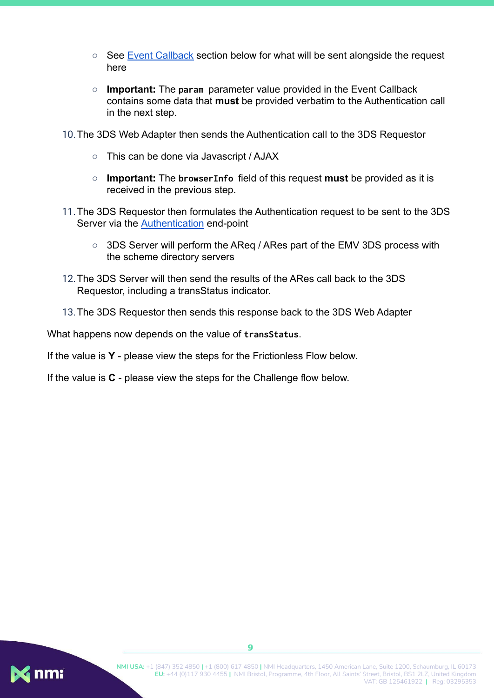- See [Event Callback](https://docs.google.com/document/d/1dOFVNRoNxJx0mJdwZx4__xLGfRcrfHiArS3JVmgy5c0/edit#heading=h.ltbm5ys5tkbw) section below for what will be sent alongside the request here
- **Important:** The **param** parameter value provided in the Event Callback contains some data that **must** be provided verbatim to the Authentication call in the next step.
- 10.The 3DS Web Adapter then sends the Authentication call to the 3DS Requestor
	- This can be done via Javascript / AJAX
	- **Important:** The **browserInfo** field of this request **must** be provided as it is received in the previous step.
- 11.The 3DS Requestor then formulates the Authentication request to be sent to the 3DS Server via the [Authentication](#page-19-0) end-point
	- 3DS Server will perform the AReq / ARes part of the EMV 3DS process with the scheme directory servers
- 12.The 3DS Server will then send the results of the ARes call back to the 3DS Requestor, including a transStatus indicator.
- 13.The 3DS Requestor then sends this response back to the 3DS Web Adapter

What happens now depends on the value of **transStatus**.

If the value is **Y** - please view the steps for the Frictionless Flow below.

If the value is **C** - please view the steps for the Challenge flow below.

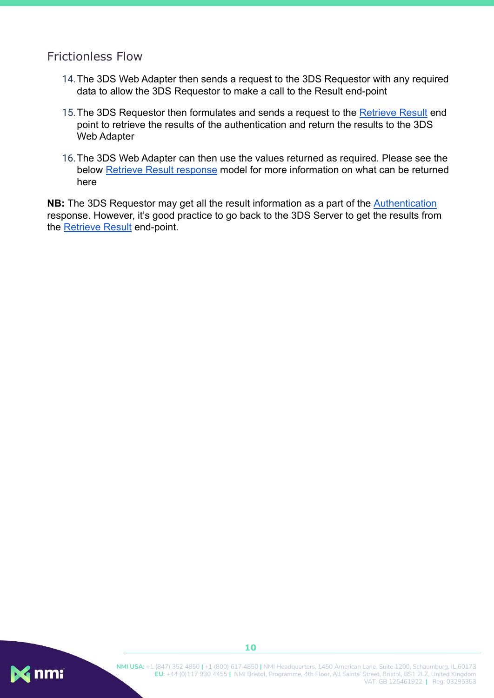#### <span id="page-10-0"></span>Frictionless Flow

- 14.The 3DS Web Adapter then sends a request to the 3DS Requestor with any required data to allow the 3DS Requestor to make a call to the Result end-point
- 15. The 3DS Requestor then formulates and sends a request to the [Retrieve Result](#page-36-0) end point to retrieve the results of the authentication and return the results to the 3DS Web Adapter
- 16.The 3DS Web Adapter can then use the values returned as required. Please see the below [Retrieve Result response](#page-36-0) model for more information on what can be returned here

**NB:** The 3DS Requestor may get all the result information as a part of the [Authentication](#page-19-0) response. However, it's good practice to go back to the 3DS Server to get the results from the [Retrieve Result](#page-36-0) end-point.

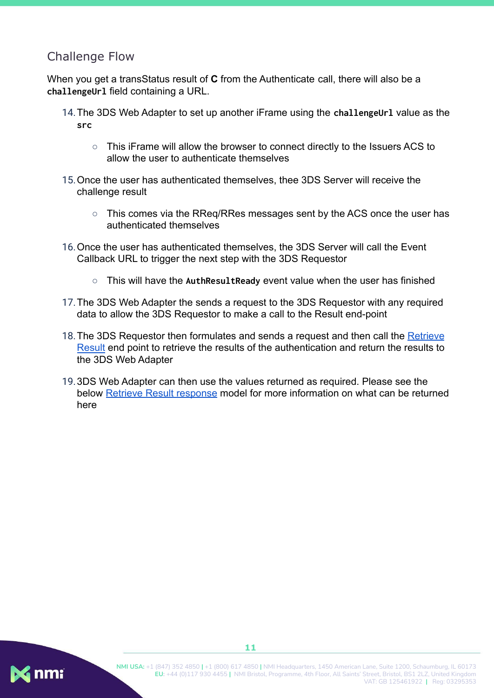### <span id="page-11-0"></span>Challenge Flow

When you get a transStatus result of **C** from the Authenticate call, there will also be a **challengeUrl** field containing a URL.

- 14.The 3DS Web Adapter to set up another iFrame using the **challengeUrl** value as the **src**
	- This iFrame will allow the browser to connect directly to the Issuers ACS to allow the user to authenticate themselves
- 15.Once the user has authenticated themselves, thee 3DS Server will receive the challenge result
	- This comes via the RReg/RRes messages sent by the ACS once the user has authenticated themselves
- 16.Once the user has authenticated themselves, the 3DS Server will call the Event Callback URL to trigger the next step with the 3DS Requestor
	- This will have the **AuthResultReady** event value when the user has finished
- 17.The 3DS Web Adapter the sends a request to the 3DS Requestor with any required data to allow the 3DS Requestor to make a call to the Result end-point
- 18. The 3DS Requestor then formulates and sends a request and then call the [Retrieve](#page-36-0) [Result](#page-36-0) end point to retrieve the results of the authentication and return the results to the 3DS Web Adapter
- 19.3DS Web Adapter can then use the values returned as required. Please see the below [Retrieve Result response](#page-36-0) model for more information on what can be returned here

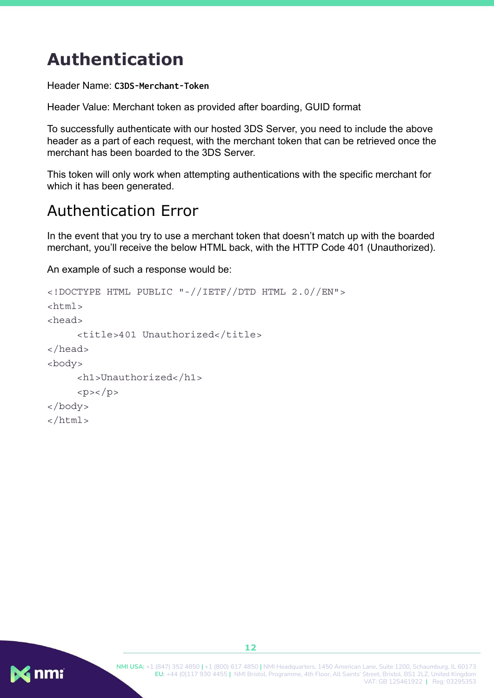# <span id="page-12-0"></span>**Authentication**

Header Name: **C3DS-Merchant-Token**

Header Value: Merchant token as provided after boarding, GUID format

To successfully authenticate with our hosted 3DS Server, you need to include the above header as a part of each request, with the merchant token that can be retrieved once the merchant has been boarded to the 3DS Server.

This token will only work when attempting authentications with the specific merchant for which it has been generated.

## <span id="page-12-1"></span>Authentication Error

In the event that you try to use a merchant token that doesn't match up with the boarded merchant, you'll receive the below HTML back, with the HTTP Code 401 (Unauthorized).

An example of such a response would be:

```
<!DOCTYPE HTML PUBLIC "-//IETF//DTD HTML 2.0//EN">
<html>
<head>
     <title>401 Unauthorized</title>
</head>
<body>
     <h1>Unauthorized</h1>
     <p><p></body>
</html>
```
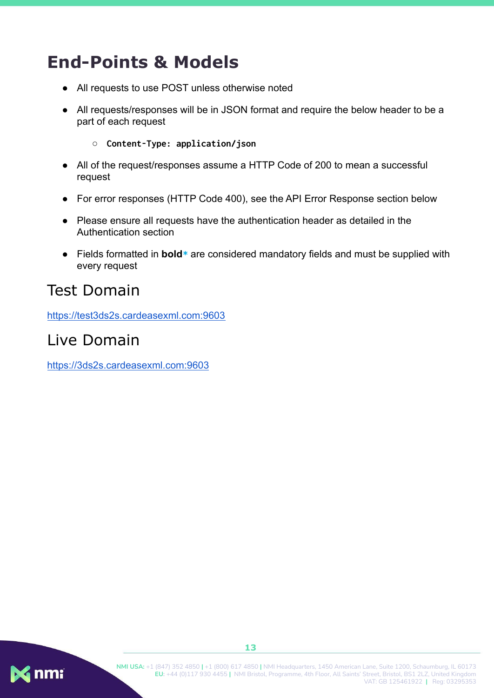# <span id="page-13-0"></span>**End-Points & Models**

- All requests to use POST unless otherwise noted
- All requests/responses will be in JSON format and require the below header to be a part of each request
	- **Content-Type: application/json**
- All of the request/responses assume a HTTP Code of 200 to mean a successful request
- For error responses (HTTP Code 400), see the API Error Response section below
- Please ensure all requests have the authentication header as detailed in the Authentication section
- Fields formatted in **bold**<sup>\*</sup> are considered mandatory fields and must be supplied with every request

## <span id="page-13-1"></span>Test Domain

<https://test3ds2s.cardeasexml.com:9603>

## <span id="page-13-2"></span>Live Domain

<https://3ds2s.cardeasexml.com:9603>

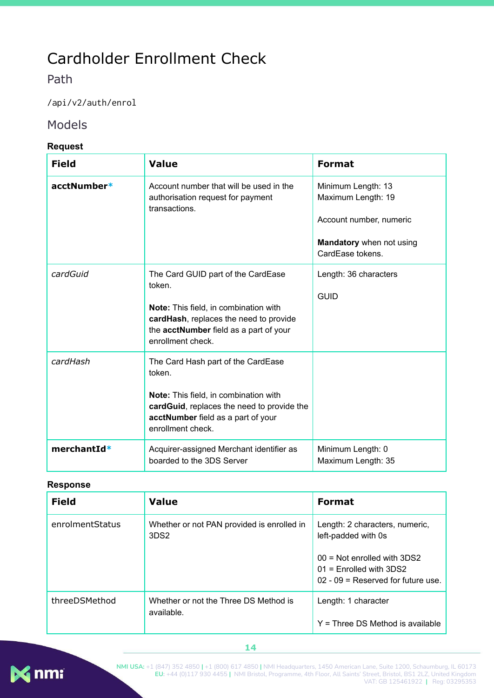# <span id="page-14-0"></span>Cardholder Enrollment Check

<span id="page-14-1"></span>Path

/api/v2/auth/enrol

#### <span id="page-14-2"></span>Models

#### <span id="page-14-3"></span>**Request**

| <b>Field</b> | <b>Value</b>                                                                                                                                                                                   | <b>Format</b>                                                                                                       |
|--------------|------------------------------------------------------------------------------------------------------------------------------------------------------------------------------------------------|---------------------------------------------------------------------------------------------------------------------|
| acctNumber*  | Account number that will be used in the<br>authorisation request for payment<br>transactions.                                                                                                  | Minimum Length: 13<br>Maximum Length: 19<br>Account number, numeric<br>Mandatory when not using<br>CardEase tokens. |
| cardGuid     | The Card GUID part of the CardEase<br>token.<br>Note: This field, in combination with<br>cardHash, replaces the need to provide<br>the acctNumber field as a part of your<br>enrollment check. | Length: 36 characters<br><b>GUID</b>                                                                                |
| cardHash     | The Card Hash part of the CardEase<br>token.<br>Note: This field, in combination with<br>cardGuid, replaces the need to provide the<br>acctNumber field as a part of your<br>enrollment check. |                                                                                                                     |
| merchantId*  | Acquirer-assigned Merchant identifier as<br>boarded to the 3DS Server                                                                                                                          | Minimum Length: 0<br>Maximum Length: 35                                                                             |

#### <span id="page-14-4"></span>**Response**

| <b>Field</b>    | <b>Value</b>                                                   | <b>Format</b>                                                                                                       |
|-----------------|----------------------------------------------------------------|---------------------------------------------------------------------------------------------------------------------|
| enrolmentStatus | Whether or not PAN provided is enrolled in<br>3DS <sub>2</sub> | Length: 2 characters, numeric,<br>left-padded with 0s<br>$00 = Not$ enrolled with 3DS2<br>$01$ = Enrolled with 3DS2 |
|                 |                                                                | $02 - 09$ = Reserved for future use.                                                                                |
| threeDSMethod   | Whether or not the Three DS Method is<br>available.            | Length: 1 character                                                                                                 |
|                 |                                                                | $Y =$ Three DS Method is available                                                                                  |



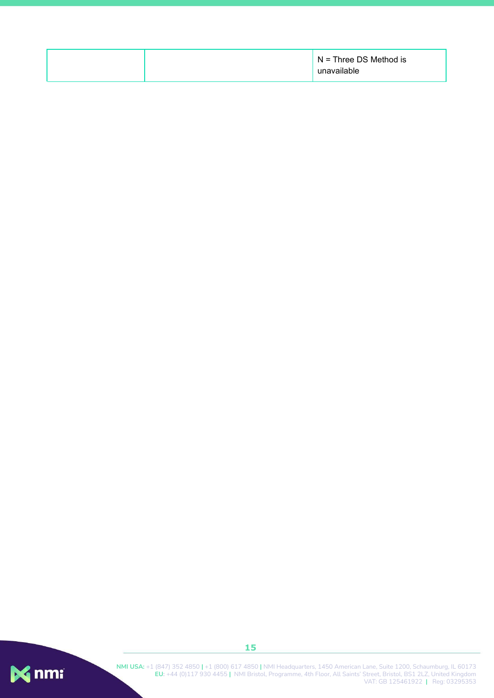| $N =$ Three DS Method is<br>unavailable |
|-----------------------------------------|
|-----------------------------------------|

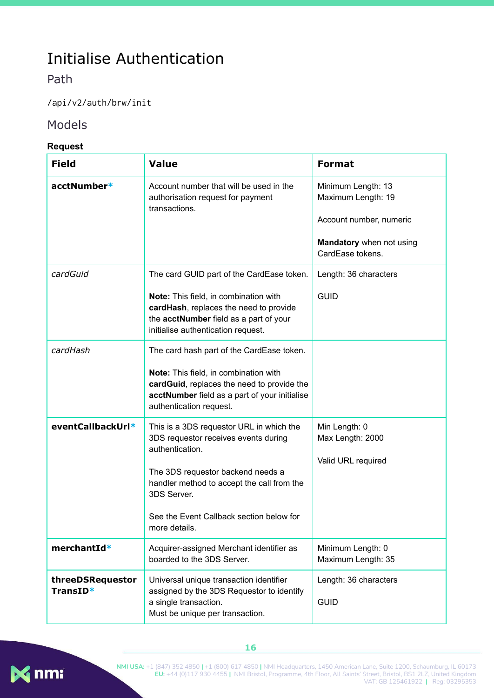# <span id="page-16-0"></span>Initialise Authentication

### <span id="page-16-1"></span>Path

/api/v2/auth/brw/init

#### <span id="page-16-2"></span>Models

#### <span id="page-16-3"></span>**Request**

| <b>Field</b>                 | <b>Value</b>                                                                                                                                                                                                                                                       | <b>Format</b>                                                                                                       |
|------------------------------|--------------------------------------------------------------------------------------------------------------------------------------------------------------------------------------------------------------------------------------------------------------------|---------------------------------------------------------------------------------------------------------------------|
| acctNumber*                  | Account number that will be used in the<br>authorisation request for payment<br>transactions.                                                                                                                                                                      | Minimum Length: 13<br>Maximum Length: 19<br>Account number, numeric<br>Mandatory when not using<br>CardEase tokens. |
| cardGuid                     | The card GUID part of the CardEase token.<br>Note: This field, in combination with<br>cardHash, replaces the need to provide<br>the acctNumber field as a part of your<br>initialise authentication request.                                                       | Length: 36 characters<br><b>GUID</b>                                                                                |
| cardHash                     | The card hash part of the CardEase token.<br>Note: This field, in combination with<br>cardGuid, replaces the need to provide the<br>acctNumber field as a part of your initialise<br>authentication request.                                                       |                                                                                                                     |
| eventCallbackUrl*            | This is a 3DS requestor URL in which the<br>3DS requestor receives events during<br>authentication.<br>The 3DS requestor backend needs a<br>handler method to accept the call from the<br>3DS Server.<br>See the Event Callback section below for<br>more details. | Min Length: 0<br>Max Length: 2000<br>Valid URL required                                                             |
| merchantId*                  | Acquirer-assigned Merchant identifier as<br>boarded to the 3DS Server.                                                                                                                                                                                             | Minimum Length: 0<br>Maximum Length: 35                                                                             |
| threeDSRequestor<br>TransID* | Universal unique transaction identifier<br>assigned by the 3DS Requestor to identify<br>a single transaction.<br>Must be unique per transaction.                                                                                                                   | Length: 36 characters<br><b>GUID</b>                                                                                |

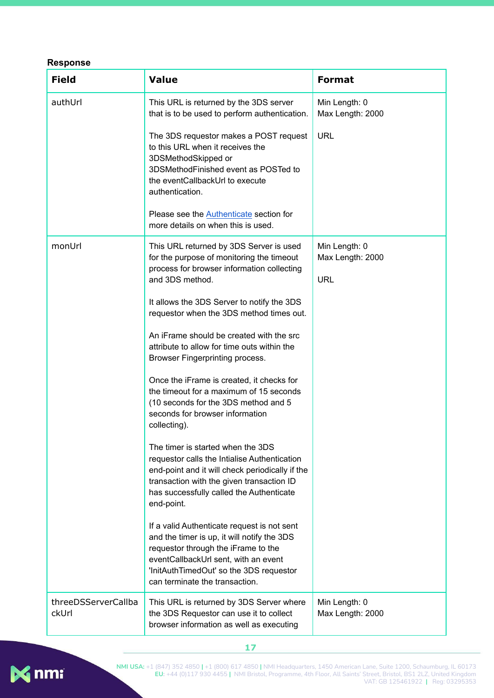#### <span id="page-17-0"></span>**Response**

| <b>Field</b>                 | <b>Value</b>                                                                                                                                                                                                                                           | <b>Format</b>                                   |
|------------------------------|--------------------------------------------------------------------------------------------------------------------------------------------------------------------------------------------------------------------------------------------------------|-------------------------------------------------|
| authUrl                      | This URL is returned by the 3DS server<br>that is to be used to perform authentication.                                                                                                                                                                | Min Length: 0<br>Max Length: 2000               |
|                              | The 3DS requestor makes a POST request<br>to this URL when it receives the<br>3DSMethodSkipped or<br>3DSMethodFinished event as POSTed to<br>the eventCallbackUrl to execute<br>authentication.                                                        | <b>URL</b>                                      |
|                              | Please see the <b>Authenticate</b> section for<br>more details on when this is used.                                                                                                                                                                   |                                                 |
| monUrl                       | This URL returned by 3DS Server is used<br>for the purpose of monitoring the timeout<br>process for browser information collecting<br>and 3DS method.                                                                                                  | Min Length: 0<br>Max Length: 2000<br><b>URL</b> |
|                              | It allows the 3DS Server to notify the 3DS<br>requestor when the 3DS method times out.                                                                                                                                                                 |                                                 |
|                              | An iFrame should be created with the src<br>attribute to allow for time outs within the<br>Browser Fingerprinting process.                                                                                                                             |                                                 |
|                              | Once the iFrame is created, it checks for<br>the timeout for a maximum of 15 seconds<br>(10 seconds for the 3DS method and 5<br>seconds for browser information<br>collecting).                                                                        |                                                 |
|                              | The timer is started when the 3DS<br>requestor calls the Intialise Authentication<br>end-point and it will check periodically if the<br>transaction with the given transaction ID<br>has successfully called the Authenticate<br>end-point.            |                                                 |
|                              | If a valid Authenticate request is not sent<br>and the timer is up, it will notify the 3DS<br>requestor through the iFrame to the<br>eventCallbackUrl sent, with an event<br>'InitAuthTimedOut' so the 3DS requestor<br>can terminate the transaction. |                                                 |
| threeDSServerCallba<br>ckUrl | This URL is returned by 3DS Server where<br>the 3DS Requestor can use it to collect<br>browser information as well as executing                                                                                                                        | Min Length: 0<br>Max Length: 2000               |



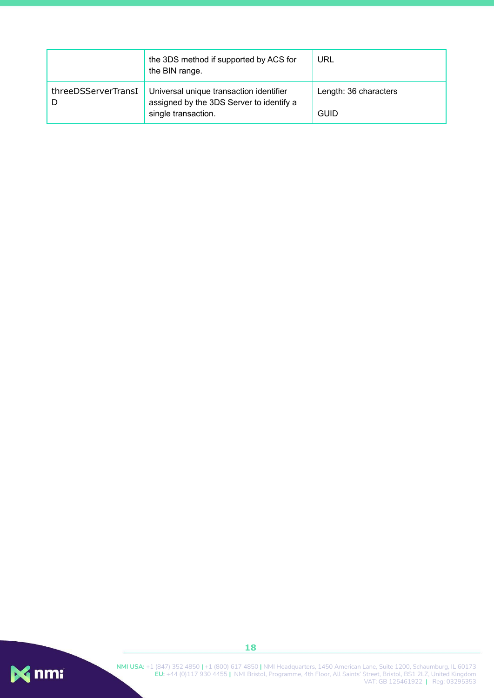|                     | the 3DS method if supported by ACS for<br>the BIN range.                                                   | URL                                  |
|---------------------|------------------------------------------------------------------------------------------------------------|--------------------------------------|
| threeDSServerTransI | Universal unique transaction identifier<br>assigned by the 3DS Server to identify a<br>single transaction. | Length: 36 characters<br><b>GUID</b> |



**NMI USA:** +1 (847) 352 4850 **|** +1 (800) 617 4850 **|** NMI Headquarters, 1450 American Lane, Suite 1200, Schaumburg, IL 60173 **EU:** +44 (0)117 930 4455 **|** NMI Bristol, Programme, 4th Floor, All Saints' Street, Bristol, BS1 2LZ, United Kingdom VAT: GB 125461922 **|** Reg: 03295353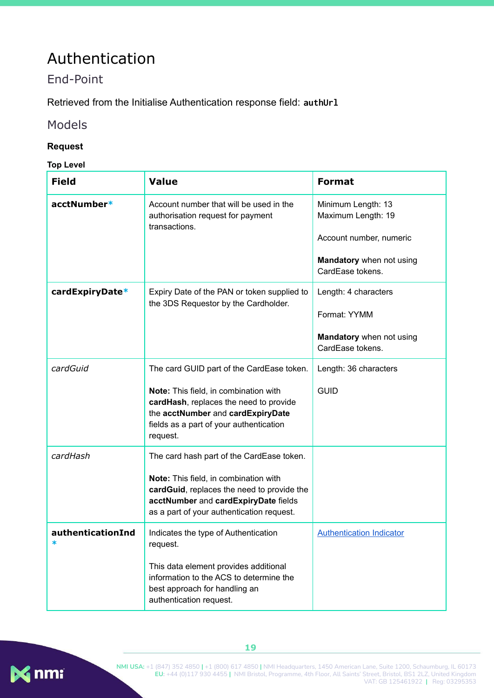## <span id="page-19-0"></span>Authentication

## <span id="page-19-1"></span>End-Point

Retrieved from the Initialise Authentication response field: **authUrl**

#### <span id="page-19-2"></span>Models

#### <span id="page-19-3"></span>**Request**

<span id="page-19-4"></span>**Top Level**

| <b>Field</b>      | <b>Value</b>                                                                                                                                                                                                             | <b>Format</b>                                                                                                       |
|-------------------|--------------------------------------------------------------------------------------------------------------------------------------------------------------------------------------------------------------------------|---------------------------------------------------------------------------------------------------------------------|
| acctNumber*       | Account number that will be used in the<br>authorisation request for payment<br>transactions.                                                                                                                            | Minimum Length: 13<br>Maximum Length: 19<br>Account number, numeric<br>Mandatory when not using<br>CardEase tokens. |
| cardExpiryDate*   | Expiry Date of the PAN or token supplied to<br>the 3DS Requestor by the Cardholder.                                                                                                                                      | Length: 4 characters<br>Format: YYMM<br>Mandatory when not using<br>CardEase tokens.                                |
| cardGuid          | The card GUID part of the CardEase token.<br>Note: This field, in combination with<br>cardHash, replaces the need to provide<br>the acctNumber and cardExpiryDate<br>fields as a part of your authentication<br>request. | Length: 36 characters<br><b>GUID</b>                                                                                |
| cardHash          | The card hash part of the CardEase token.<br>Note: This field, in combination with<br>cardGuid, replaces the need to provide the<br>acctNumber and cardExpiryDate fields<br>as a part of your authentication request.    |                                                                                                                     |
| authenticationInd | Indicates the type of Authentication<br>request.<br>This data element provides additional<br>information to the ACS to determine the<br>best approach for handling an<br>authentication request.                         | <b>Authentication Indicator</b>                                                                                     |

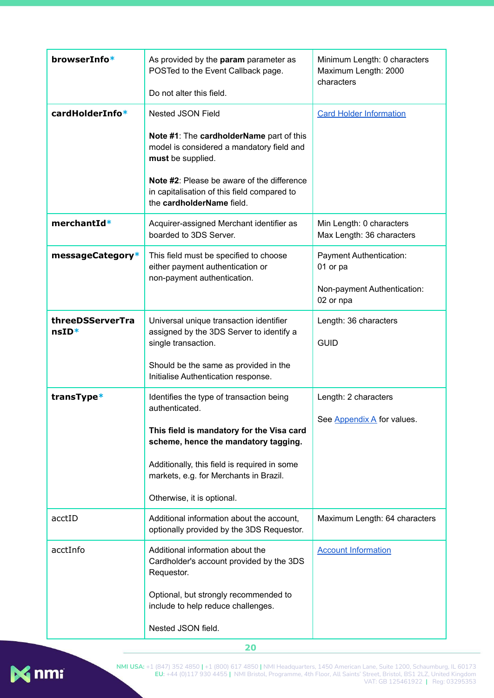| browserInfo*                | As provided by the param parameter as<br>POSTed to the Event Callback page.<br>Do not alter this field.                                                                                                                                                                 | Minimum Length: 0 characters<br>Maximum Length: 2000<br>characters              |
|-----------------------------|-------------------------------------------------------------------------------------------------------------------------------------------------------------------------------------------------------------------------------------------------------------------------|---------------------------------------------------------------------------------|
| cardHolderInfo*             | <b>Nested JSON Field</b>                                                                                                                                                                                                                                                | <b>Card Holder Information</b>                                                  |
|                             | Note #1: The cardholderName part of this<br>model is considered a mandatory field and<br>must be supplied.<br>Note #2: Please be aware of the difference<br>in capitalisation of this field compared to<br>the cardholderName field.                                    |                                                                                 |
| merchantId*                 | Acquirer-assigned Merchant identifier as<br>boarded to 3DS Server.                                                                                                                                                                                                      | Min Length: 0 characters<br>Max Length: 36 characters                           |
| messageCategory*            | This field must be specified to choose<br>either payment authentication or<br>non-payment authentication.                                                                                                                                                               | Payment Authentication:<br>01 or pa<br>Non-payment Authentication:<br>02 or npa |
| threeDSServerTra<br>$nsID*$ | Universal unique transaction identifier<br>assigned by the 3DS Server to identify a<br>single transaction.<br>Should be the same as provided in the<br>Initialise Authentication response.                                                                              | Length: 36 characters<br><b>GUID</b>                                            |
| transType*                  | Identifies the type of transaction being<br>authenticated.<br>This field is mandatory for the Visa card<br>scheme, hence the mandatory tagging.<br>Additionally, this field is required in some<br>markets, e.g. for Merchants in Brazil.<br>Otherwise, it is optional. | Length: 2 characters<br>See Appendix A for values.                              |
| acctID                      | Additional information about the account,<br>optionally provided by the 3DS Requestor.                                                                                                                                                                                  | Maximum Length: 64 characters                                                   |
| acctInfo                    | Additional information about the<br>Cardholder's account provided by the 3DS<br>Requestor.<br>Optional, but strongly recommended to<br>include to help reduce challenges.                                                                                               | <b>Account Information</b>                                                      |
|                             | Nested JSON field.                                                                                                                                                                                                                                                      |                                                                                 |

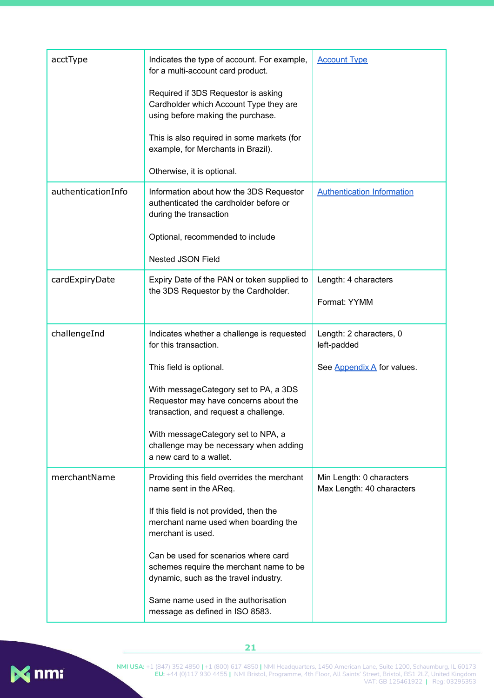| acctType           | Indicates the type of account. For example,<br>for a multi-account card product.                                         | <b>Account Type</b>                                   |
|--------------------|--------------------------------------------------------------------------------------------------------------------------|-------------------------------------------------------|
|                    | Required if 3DS Requestor is asking<br>Cardholder which Account Type they are<br>using before making the purchase.       |                                                       |
|                    | This is also required in some markets (for<br>example, for Merchants in Brazil).                                         |                                                       |
|                    | Otherwise, it is optional.                                                                                               |                                                       |
| authenticationInfo | Information about how the 3DS Requestor<br>authenticated the cardholder before or<br>during the transaction              | <b>Authentication Information</b>                     |
|                    | Optional, recommended to include                                                                                         |                                                       |
|                    | <b>Nested JSON Field</b>                                                                                                 |                                                       |
| cardExpiryDate     | Expiry Date of the PAN or token supplied to<br>the 3DS Requestor by the Cardholder.                                      | Length: 4 characters                                  |
|                    |                                                                                                                          | Format: YYMM                                          |
| challengeInd       | Indicates whether a challenge is requested<br>for this transaction.                                                      | Length: 2 characters, 0<br>left-padded                |
|                    | This field is optional.                                                                                                  | See Appendix A for values.                            |
|                    | With messageCategory set to PA, a 3DS<br>Requestor may have concerns about the<br>transaction, and request a challenge.  |                                                       |
|                    | With messageCategory set to NPA, a<br>challenge may be necessary when adding<br>a new card to a wallet.                  |                                                       |
| merchantName       | Providing this field overrides the merchant<br>name sent in the AReq.                                                    | Min Length: 0 characters<br>Max Length: 40 characters |
|                    | If this field is not provided, then the<br>merchant name used when boarding the<br>merchant is used.                     |                                                       |
|                    | Can be used for scenarios where card<br>schemes require the merchant name to be<br>dynamic, such as the travel industry. |                                                       |
|                    | Same name used in the authorisation<br>message as defined in ISO 8583.                                                   |                                                       |

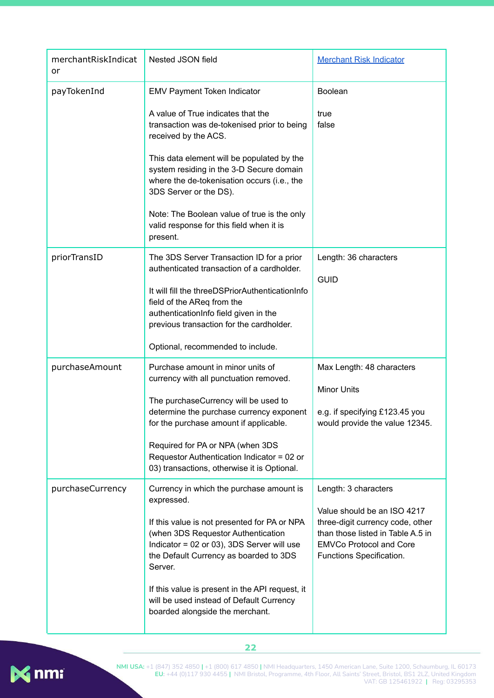| merchantRiskIndicat<br>or | Nested JSON field                                                                                                                                                                                                                                                                                                                                                                                      | <b>Merchant Risk Indicator</b>                                                                                                                                                             |
|---------------------------|--------------------------------------------------------------------------------------------------------------------------------------------------------------------------------------------------------------------------------------------------------------------------------------------------------------------------------------------------------------------------------------------------------|--------------------------------------------------------------------------------------------------------------------------------------------------------------------------------------------|
| payTokenInd               | EMV Payment Token Indicator<br>A value of True indicates that the<br>transaction was de-tokenised prior to being<br>received by the ACS.<br>This data element will be populated by the<br>system residing in the 3-D Secure domain<br>where the de-tokenisation occurs (i.e., the<br>3DS Server or the DS).<br>Note: The Boolean value of true is the only<br>valid response for this field when it is | <b>Boolean</b><br>true<br>false                                                                                                                                                            |
| priorTransID              | present.<br>The 3DS Server Transaction ID for a prior<br>authenticated transaction of a cardholder.<br>It will fill the threeDSPriorAuthenticationInfo<br>field of the AReq from the<br>authenticationInfo field given in the<br>previous transaction for the cardholder.<br>Optional, recommended to include.                                                                                         | Length: 36 characters<br><b>GUID</b>                                                                                                                                                       |
| purchaseAmount            | Purchase amount in minor units of<br>currency with all punctuation removed.<br>The purchaseCurrency will be used to<br>determine the purchase currency exponent<br>for the purchase amount if applicable.<br>Required for PA or NPA (when 3DS<br>Requestor Authentication Indicator = 02 or<br>03) transactions, otherwise it is Optional.                                                             | Max Length: 48 characters<br><b>Minor Units</b><br>e.g. if specifying £123.45 you<br>would provide the value 12345.                                                                        |
| purchaseCurrency          | Currency in which the purchase amount is<br>expressed.<br>If this value is not presented for PA or NPA<br>(when 3DS Requestor Authentication<br>Indicator = 02 or 03), 3DS Server will use<br>the Default Currency as boarded to 3DS<br>Server.<br>If this value is present in the API request, it<br>will be used instead of Default Currency<br>boarded alongside the merchant.                      | Length: 3 characters<br>Value should be an ISO 4217<br>three-digit currency code, other<br>than those listed in Table A.5 in<br><b>EMVCo Protocol and Core</b><br>Functions Specification. |

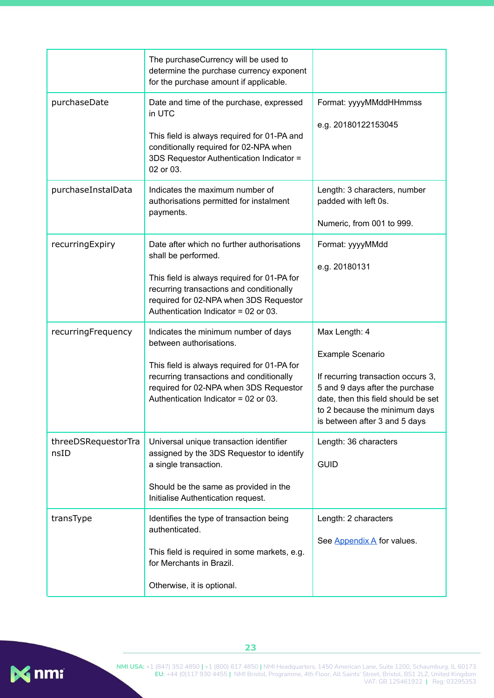|                             | The purchaseCurrency will be used to<br>determine the purchase currency exponent<br>for the purchase amount if applicable.                                                                                                                     |                                                                                                                                                                                                                            |
|-----------------------------|------------------------------------------------------------------------------------------------------------------------------------------------------------------------------------------------------------------------------------------------|----------------------------------------------------------------------------------------------------------------------------------------------------------------------------------------------------------------------------|
| purchaseDate                | Date and time of the purchase, expressed<br>in UTC<br>This field is always required for 01-PA and<br>conditionally required for 02-NPA when<br>3DS Requestor Authentication Indicator =<br>02 or 03.                                           | Format: yyyyMMddHHmmss<br>e.g. 20180122153045                                                                                                                                                                              |
| purchaseInstalData          | Indicates the maximum number of<br>authorisations permitted for instalment<br>payments.                                                                                                                                                        | Length: 3 characters, number<br>padded with left 0s.<br>Numeric, from 001 to 999.                                                                                                                                          |
| recurringExpiry             | Date after which no further authorisations<br>shall be performed.<br>This field is always required for 01-PA for<br>recurring transactions and conditionally<br>required for 02-NPA when 3DS Requestor<br>Authentication Indicator = 02 or 03. | Format: yyyyMMdd<br>e.g. 20180131                                                                                                                                                                                          |
| recurringFrequency          | Indicates the minimum number of days<br>between authorisations.<br>This field is always required for 01-PA for<br>recurring transactions and conditionally<br>required for 02-NPA when 3DS Requestor<br>Authentication Indicator = 02 or 03.   | Max Length: 4<br><b>Example Scenario</b><br>If recurring transaction occurs 3,<br>5 and 9 days after the purchase<br>date, then this field should be set<br>to 2 because the minimum days<br>is between after 3 and 5 days |
| threeDSRequestorTra<br>nsID | Universal unique transaction identifier<br>assigned by the 3DS Requestor to identify<br>a single transaction.<br>Should be the same as provided in the<br>Initialise Authentication request.                                                   | Length: 36 characters<br><b>GUID</b>                                                                                                                                                                                       |
| transType                   | Identifies the type of transaction being<br>authenticated.<br>This field is required in some markets, e.g.<br>for Merchants in Brazil.<br>Otherwise, it is optional.                                                                           | Length: 2 characters<br>See Appendix A for values.                                                                                                                                                                         |

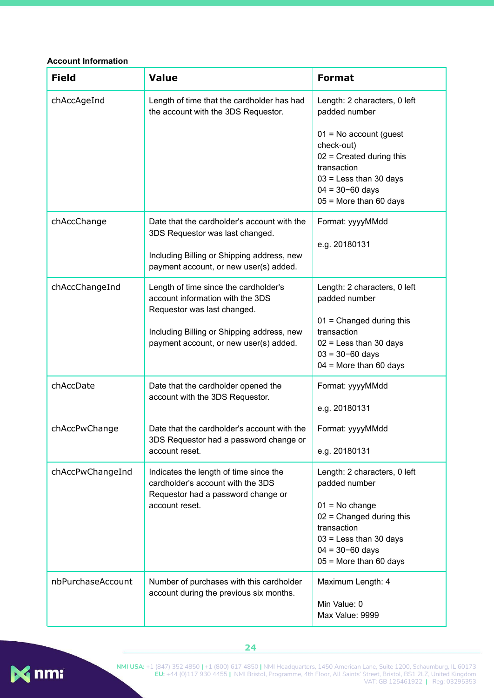#### <span id="page-24-0"></span>**Account Information**

| <b>Field</b>      | <b>Value</b>                                                                                                                                                                                     | <b>Format</b>                                                                                                                                                                                 |
|-------------------|--------------------------------------------------------------------------------------------------------------------------------------------------------------------------------------------------|-----------------------------------------------------------------------------------------------------------------------------------------------------------------------------------------------|
| chAccAgeInd       | Length of time that the cardholder has had<br>the account with the 3DS Requestor.                                                                                                                | Length: 2 characters, 0 left<br>padded number                                                                                                                                                 |
|                   |                                                                                                                                                                                                  | $01 = No account (quest)$<br>check-out)<br>$02$ = Created during this<br>transaction<br>$03$ = Less than 30 days<br>$04 = 30 - 60$ days<br>$05$ = More than 60 days                           |
| chAccChange       | Date that the cardholder's account with the<br>3DS Requestor was last changed.<br>Including Billing or Shipping address, new<br>payment account, or new user(s) added.                           | Format: yyyyMMdd<br>e.g. 20180131                                                                                                                                                             |
| chAccChangeInd    | Length of time since the cardholder's<br>account information with the 3DS<br>Requestor was last changed.<br>Including Billing or Shipping address, new<br>payment account, or new user(s) added. | Length: 2 characters, 0 left<br>padded number<br>$01$ = Changed during this<br>transaction<br>$02$ = Less than 30 days<br>$03 = 30 - 60$ days<br>$04$ = More than 60 days                     |
| chAccDate         | Date that the cardholder opened the<br>account with the 3DS Requestor.                                                                                                                           | Format: yyyyMMdd<br>e.g. 20180131                                                                                                                                                             |
| chAccPwChange     | Date that the cardholder's account with the<br>3DS Requestor had a password change or<br>account reset.                                                                                          | Format: yyyyMMdd<br>e.g. 20180131                                                                                                                                                             |
| chAccPwChangeInd  | Indicates the length of time since the<br>cardholder's account with the 3DS<br>Requestor had a password change or<br>account reset.                                                              | Length: 2 characters, 0 left<br>padded number<br>$01 = No change$<br>$02$ = Changed during this<br>transaction<br>$03$ = Less than 30 days<br>$04 = 30 - 60$ days<br>$05$ = More than 60 days |
| nbPurchaseAccount | Number of purchases with this cardholder<br>account during the previous six months.                                                                                                              | Maximum Length: 4<br>Min Value: 0<br>Max Value: 9999                                                                                                                                          |





**NMI USA:** +1 (847) 352 4850 **|** +1 (800) 617 4850 **|** NMI Headquarters, 1450 American Lane, Suite 1200, Schaumburg, IL 60173 **EU:** +44 (0)117 930 4455 **|** NMI Bristol, Programme, 4th Floor, All Saints' Street, Bristol, BS1 2LZ, United Kingdom VAT: GB 125461922 **|** Reg: 03295353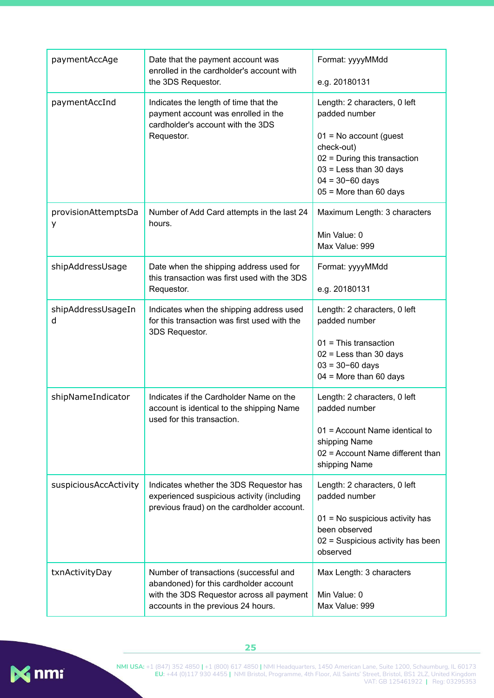| paymentAccAge            | Date that the payment account was<br>enrolled in the cardholder's account with<br>the 3DS Requestor.                                                                | Format: yyyyMMdd<br>e.g. 20180131                                                                                                                                                                         |
|--------------------------|---------------------------------------------------------------------------------------------------------------------------------------------------------------------|-----------------------------------------------------------------------------------------------------------------------------------------------------------------------------------------------------------|
| paymentAccInd            | Indicates the length of time that the<br>payment account was enrolled in the<br>cardholder's account with the 3DS<br>Requestor.                                     | Length: 2 characters, 0 left<br>padded number<br>$01 = No account (quest)$<br>check-out)<br>$02$ = During this transaction<br>$03$ = Less than 30 days<br>$04 = 30 - 60$ days<br>$05$ = More than 60 days |
| provisionAttemptsDa<br>у | Number of Add Card attempts in the last 24<br>hours.                                                                                                                | Maximum Length: 3 characters<br>Min Value: 0<br>Max Value: 999                                                                                                                                            |
| shipAddressUsage         | Date when the shipping address used for<br>this transaction was first used with the 3DS<br>Requestor.                                                               | Format: yyyyMMdd<br>e.g. 20180131                                                                                                                                                                         |
| shipAddressUsageIn<br>d  | Indicates when the shipping address used<br>for this transaction was first used with the<br>3DS Requestor.                                                          | Length: 2 characters, 0 left<br>padded number<br>$01$ = This transaction<br>$02$ = Less than 30 days<br>$03 = 30 - 60$ days<br>$04$ = More than 60 days                                                   |
| shipNameIndicator        | Indicates if the Cardholder Name on the<br>account is identical to the shipping Name<br>used for this transaction.                                                  | Length: 2 characters, 0 left<br>padded number<br>01 = Account Name identical to<br>shipping Name<br>02 = Account Name different than<br>shipping Name                                                     |
| suspiciousAccActivity    | Indicates whether the 3DS Requestor has<br>experienced suspicious activity (including<br>previous fraud) on the cardholder account.                                 | Length: 2 characters, 0 left<br>padded number<br>01 = No suspicious activity has<br>been observed<br>02 = Suspicious activity has been<br>observed                                                        |
| txnActivityDay           | Number of transactions (successful and<br>abandoned) for this cardholder account<br>with the 3DS Requestor across all payment<br>accounts in the previous 24 hours. | Max Length: 3 characters<br>Min Value: 0<br>Max Value: 999                                                                                                                                                |

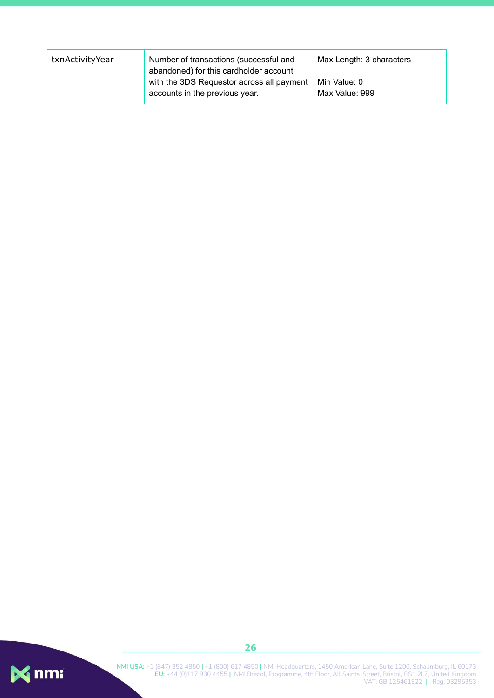| txnActivityYear | Number of transactions (successful and<br>abandoned) for this cardholder account | Max Length: 3 characters       |
|-----------------|----------------------------------------------------------------------------------|--------------------------------|
|                 | with the 3DS Requestor across all payment<br>accounts in the previous year.      | Min Value: 0<br>Max Value: 999 |

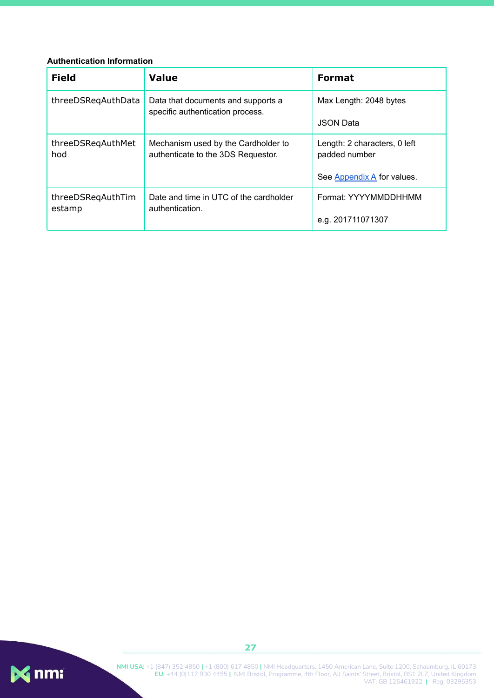#### <span id="page-27-0"></span>**Authentication Information**

| <b>Field</b>                | <b>Value</b>                                                              | <b>Format</b>                                 |
|-----------------------------|---------------------------------------------------------------------------|-----------------------------------------------|
| threeDSRegAuthData          | Data that documents and supports a<br>specific authentication process.    | Max Length: 2048 bytes                        |
|                             |                                                                           | <b>JSON Data</b>                              |
| threeDSRegAuthMet<br>hod    | Mechanism used by the Cardholder to<br>authenticate to the 3DS Requestor. | Length: 2 characters, 0 left<br>padded number |
|                             |                                                                           | See Appendix A for values.                    |
| threeDSRegAuthTim<br>estamp | Date and time in UTC of the cardholder<br>authentication.                 | Format: YYYYMMDDHHMM                          |
|                             |                                                                           | e.g. 201711071307                             |

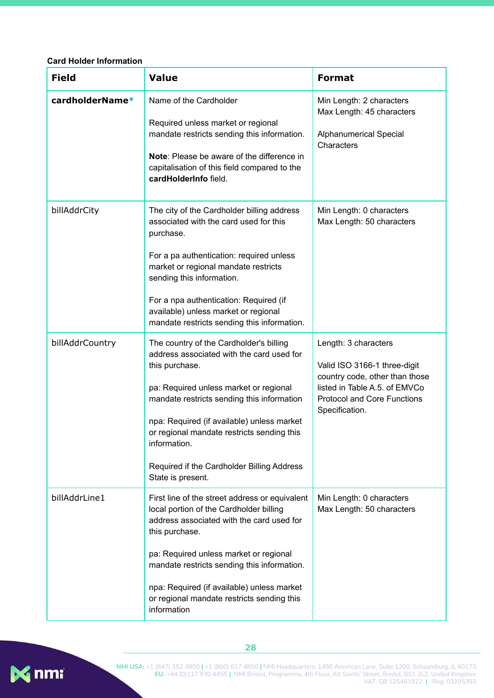#### <span id="page-28-0"></span>**Card Holder Information**

| <b>Field</b>    | <b>Value</b>                                                                                                                                                                                                                                                                                                                                                                  | <b>Format</b>                                                                                                                                                                   |
|-----------------|-------------------------------------------------------------------------------------------------------------------------------------------------------------------------------------------------------------------------------------------------------------------------------------------------------------------------------------------------------------------------------|---------------------------------------------------------------------------------------------------------------------------------------------------------------------------------|
| cardholderName* | Name of the Cardholder<br>Required unless market or regional<br>mandate restricts sending this information.<br>Note: Please be aware of the difference in<br>capitalisation of this field compared to the<br>cardHolderInfo field.                                                                                                                                            | Min Length: 2 characters<br>Max Length: 45 characters<br>Alphanumerical Special<br>Characters                                                                                   |
| billAddrCity    | The city of the Cardholder billing address<br>associated with the card used for this<br>purchase.<br>For a pa authentication: required unless<br>market or regional mandate restricts<br>sending this information.<br>For a npa authentication: Required (if<br>available) unless market or regional<br>mandate restricts sending this information.                           | Min Length: 0 characters<br>Max Length: 50 characters                                                                                                                           |
| billAddrCountry | The country of the Cardholder's billing<br>address associated with the card used for<br>this purchase.<br>pa: Required unless market or regional<br>mandate restricts sending this information<br>npa: Required (if available) unless market<br>or regional mandate restricts sending this<br>information.<br>Required if the Cardholder Billing Address<br>State is present. | Length: 3 characters<br>Valid ISO 3166-1 three-digit<br>country code, other than those<br>listed in Table A.5. of EMVCo<br><b>Protocol and Core Functions</b><br>Specification. |
| billAddrLine1   | First line of the street address or equivalent<br>local portion of the Cardholder billing<br>address associated with the card used for<br>this purchase.<br>pa: Required unless market or regional<br>mandate restricts sending this information.<br>npa: Required (if available) unless market<br>or regional mandate restricts sending this<br>information                  | Min Length: 0 characters<br>Max Length: 50 characters                                                                                                                           |

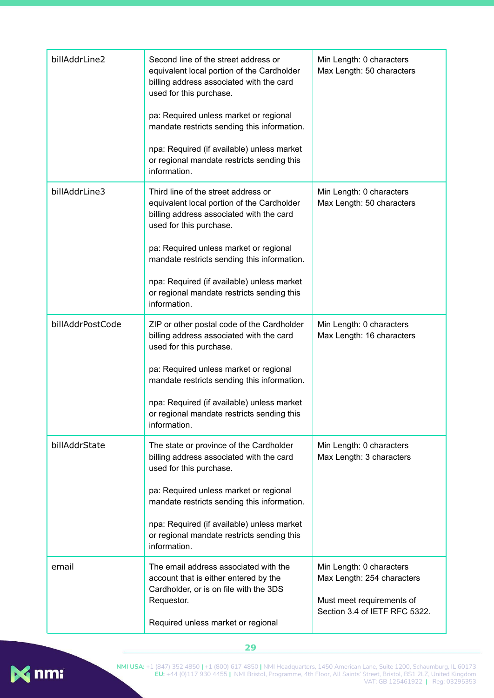| billAddrLine2    | Second line of the street address or<br>equivalent local portion of the Cardholder<br>billing address associated with the card<br>used for this purchase.<br>pa: Required unless market or regional<br>mandate restricts sending this information.<br>npa: Required (if available) unless market<br>or regional mandate restricts sending this<br>information. | Min Length: 0 characters<br>Max Length: 50 characters                                                                |
|------------------|----------------------------------------------------------------------------------------------------------------------------------------------------------------------------------------------------------------------------------------------------------------------------------------------------------------------------------------------------------------|----------------------------------------------------------------------------------------------------------------------|
| billAddrLine3    | Third line of the street address or<br>equivalent local portion of the Cardholder<br>billing address associated with the card<br>used for this purchase.<br>pa: Required unless market or regional<br>mandate restricts sending this information.<br>npa: Required (if available) unless market<br>or regional mandate restricts sending this<br>information.  | Min Length: 0 characters<br>Max Length: 50 characters                                                                |
| billAddrPostCode | ZIP or other postal code of the Cardholder<br>billing address associated with the card<br>used for this purchase.<br>pa: Required unless market or regional<br>mandate restricts sending this information.<br>npa: Required (if available) unless market<br>or regional mandate restricts sending this<br>information.                                         | Min Length: 0 characters<br>Max Length: 16 characters                                                                |
| billAddrState    | The state or province of the Cardholder<br>billing address associated with the card<br>used for this purchase.<br>pa: Required unless market or regional<br>mandate restricts sending this information.<br>npa: Required (if available) unless market<br>or regional mandate restricts sending this<br>information.                                            | Min Length: 0 characters<br>Max Length: 3 characters                                                                 |
| email            | The email address associated with the<br>account that is either entered by the<br>Cardholder, or is on file with the 3DS<br>Requestor.<br>Required unless market or regional                                                                                                                                                                                   | Min Length: 0 characters<br>Max Length: 254 characters<br>Must meet requirements of<br>Section 3.4 of IETF RFC 5322. |

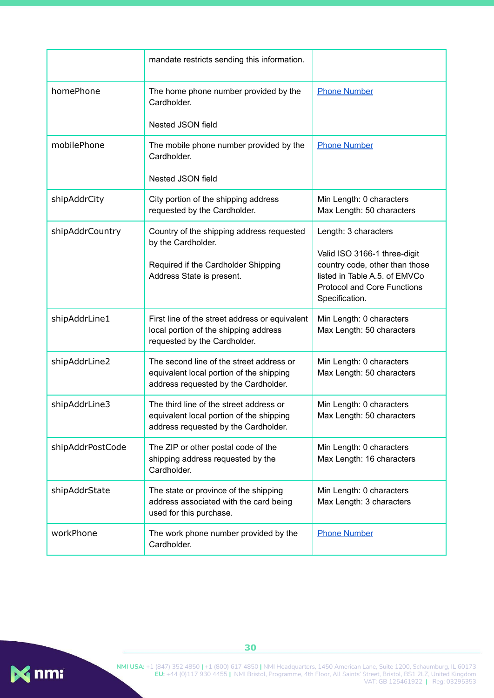|                  | mandate restricts sending this information.                                                                                         |                                                                                                                                                                                 |
|------------------|-------------------------------------------------------------------------------------------------------------------------------------|---------------------------------------------------------------------------------------------------------------------------------------------------------------------------------|
| homePhone        | The home phone number provided by the<br>Cardholder.                                                                                | <b>Phone Number</b>                                                                                                                                                             |
|                  | Nested JSON field                                                                                                                   |                                                                                                                                                                                 |
| mobilePhone      | The mobile phone number provided by the<br>Cardholder.                                                                              | <b>Phone Number</b>                                                                                                                                                             |
|                  | Nested JSON field                                                                                                                   |                                                                                                                                                                                 |
| shipAddrCity     | City portion of the shipping address<br>requested by the Cardholder.                                                                | Min Length: 0 characters<br>Max Length: 50 characters                                                                                                                           |
| shipAddrCountry  | Country of the shipping address requested<br>by the Cardholder.<br>Required if the Cardholder Shipping<br>Address State is present. | Length: 3 characters<br>Valid ISO 3166-1 three-digit<br>country code, other than those<br>listed in Table A.5. of EMVCo<br><b>Protocol and Core Functions</b><br>Specification. |
| shipAddrLine1    | First line of the street address or equivalent<br>local portion of the shipping address<br>requested by the Cardholder.             | Min Length: 0 characters<br>Max Length: 50 characters                                                                                                                           |
| shipAddrLine2    | The second line of the street address or<br>equivalent local portion of the shipping<br>address requested by the Cardholder.        | Min Length: 0 characters<br>Max Length: 50 characters                                                                                                                           |
| shipAddrLine3    | The third line of the street address or<br>equivalent local portion of the shipping<br>address requested by the Cardholder.         | Min Length: 0 characters<br>Max Length: 50 characters                                                                                                                           |
| shipAddrPostCode | The ZIP or other postal code of the<br>shipping address requested by the<br>Cardholder.                                             | Min Length: 0 characters<br>Max Length: 16 characters                                                                                                                           |
| shipAddrState    | The state or province of the shipping<br>address associated with the card being<br>used for this purchase.                          | Min Length: 0 characters<br>Max Length: 3 characters                                                                                                                            |
| workPhone        | The work phone number provided by the<br>Cardholder.                                                                                | <b>Phone Number</b>                                                                                                                                                             |

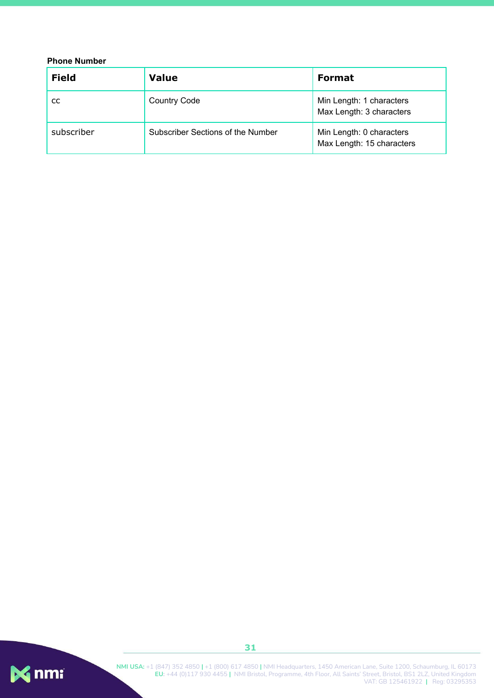#### <span id="page-31-0"></span>**Phone Number**

| <b>Field</b> | <b>Value</b>                      | <b>Format</b>                                         |
|--------------|-----------------------------------|-------------------------------------------------------|
| CC.          | <b>Country Code</b>               | Min Length: 1 characters<br>Max Length: 3 characters  |
| subscriber   | Subscriber Sections of the Number | Min Length: 0 characters<br>Max Length: 15 characters |

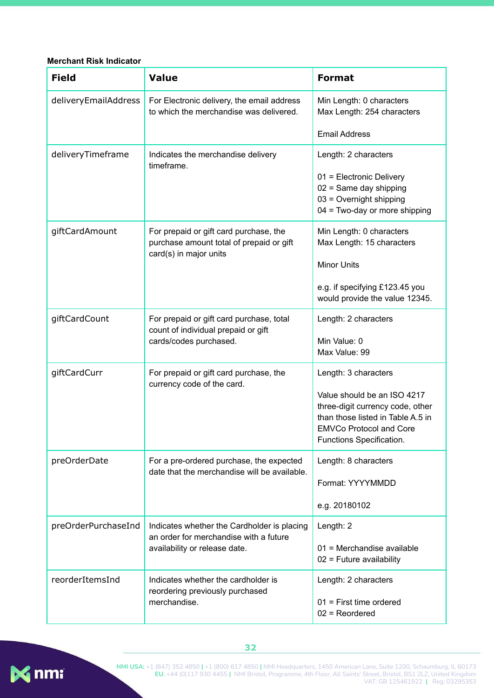#### <span id="page-32-0"></span>**Merchant Risk Indicator**

| <b>Field</b>         | <b>Value</b>                                                                                                           | <b>Format</b>                                                                                                                                                                              |
|----------------------|------------------------------------------------------------------------------------------------------------------------|--------------------------------------------------------------------------------------------------------------------------------------------------------------------------------------------|
| deliveryEmailAddress | For Electronic delivery, the email address<br>to which the merchandise was delivered.                                  | Min Length: 0 characters<br>Max Length: 254 characters                                                                                                                                     |
|                      |                                                                                                                        | <b>Email Address</b>                                                                                                                                                                       |
| deliveryTimeframe    | Indicates the merchandise delivery<br>timeframe.                                                                       | Length: 2 characters<br>01 = Electronic Delivery<br>$02$ = Same day shipping<br>03 = Overnight shipping<br>04 = Two-day or more shipping                                                   |
| giftCardAmount       | For prepaid or gift card purchase, the<br>purchase amount total of prepaid or gift<br>card(s) in major units           | Min Length: 0 characters<br>Max Length: 15 characters<br><b>Minor Units</b><br>e.g. if specifying £123.45 you<br>would provide the value 12345.                                            |
| giftCardCount        | For prepaid or gift card purchase, total<br>count of individual prepaid or gift<br>cards/codes purchased.              | Length: 2 characters<br>Min Value: 0<br>Max Value: 99                                                                                                                                      |
| giftCardCurr         | For prepaid or gift card purchase, the<br>currency code of the card.                                                   | Length: 3 characters<br>Value should be an ISO 4217<br>three-digit currency code, other<br>than those listed in Table A.5 in<br><b>EMVCo Protocol and Core</b><br>Functions Specification. |
| preOrderDate         | For a pre-ordered purchase, the expected<br>date that the merchandise will be available.                               | Length: 8 characters<br>Format: YYYYMMDD<br>e.g. 20180102                                                                                                                                  |
| preOrderPurchaseInd  | Indicates whether the Cardholder is placing<br>an order for merchandise with a future<br>availability or release date. | Length: 2<br>01 = Merchandise available<br>$02$ = Future availability                                                                                                                      |
| reorderItemsInd      | Indicates whether the cardholder is<br>reordering previously purchased<br>merchandise.                                 | Length: 2 characters<br>$01$ = First time ordered<br>$02$ = Reordered                                                                                                                      |



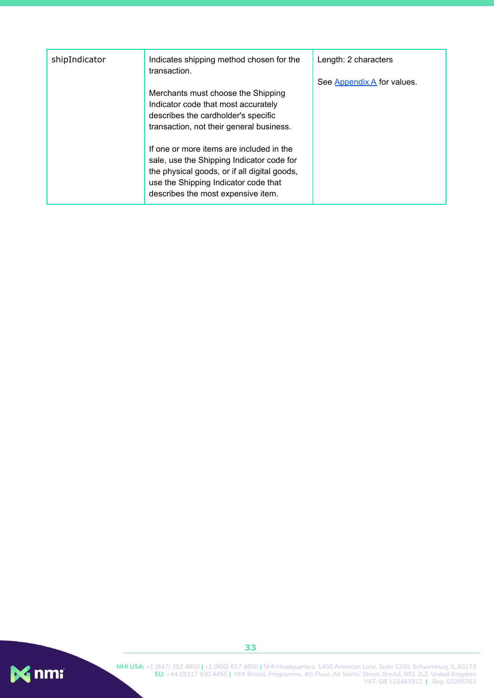| shipIndicator | Indicates shipping method chosen for the<br>transaction.                                                                                                                                                            | Length: 2 characters<br>See Appendix A for values. |
|---------------|---------------------------------------------------------------------------------------------------------------------------------------------------------------------------------------------------------------------|----------------------------------------------------|
|               | Merchants must choose the Shipping<br>Indicator code that most accurately<br>describes the cardholder's specific<br>transaction, not their general business.                                                        |                                                    |
|               | If one or more items are included in the<br>sale, use the Shipping Indicator code for<br>the physical goods, or if all digital goods,<br>use the Shipping Indicator code that<br>describes the most expensive item. |                                                    |

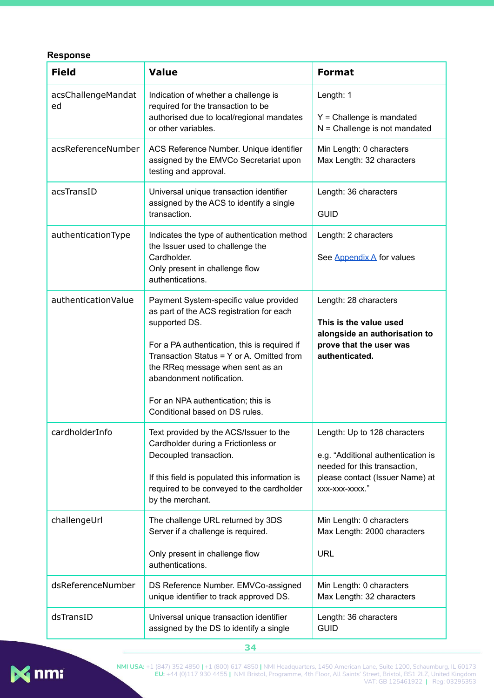#### <span id="page-34-0"></span>**Response**

| <b>Field</b>             | <b>Value</b>                                                                                                                                                                                                                                                                                                                              | <b>Format</b>                                                                                                                                           |
|--------------------------|-------------------------------------------------------------------------------------------------------------------------------------------------------------------------------------------------------------------------------------------------------------------------------------------------------------------------------------------|---------------------------------------------------------------------------------------------------------------------------------------------------------|
| acsChallengeMandat<br>ed | Indication of whether a challenge is<br>required for the transaction to be<br>authorised due to local/regional mandates<br>or other variables.                                                                                                                                                                                            | Length: 1<br>$Y =$ Challenge is mandated<br>$N =$ Challenge is not mandated                                                                             |
| acsReferenceNumber       | ACS Reference Number. Unique identifier<br>assigned by the EMVCo Secretariat upon<br>testing and approval.                                                                                                                                                                                                                                | Min Length: 0 characters<br>Max Length: 32 characters                                                                                                   |
| acsTransID               | Universal unique transaction identifier<br>assigned by the ACS to identify a single<br>transaction.                                                                                                                                                                                                                                       | Length: 36 characters<br><b>GUID</b>                                                                                                                    |
| authenticationType       | Indicates the type of authentication method<br>the Issuer used to challenge the<br>Cardholder.<br>Only present in challenge flow<br>authentications.                                                                                                                                                                                      | Length: 2 characters<br>See Appendix A for values                                                                                                       |
| authenticationValue      | Payment System-specific value provided<br>as part of the ACS registration for each<br>supported DS.<br>For a PA authentication, this is required if<br>Transaction Status = Y or A. Omitted from<br>the RReq message when sent as an<br>abandonment notification.<br>For an NPA authentication; this is<br>Conditional based on DS rules. | Length: 28 characters<br>This is the value used<br>alongside an authorisation to<br>prove that the user was<br>authenticated.                           |
| cardholderInfo           | Text provided by the ACS/Issuer to the<br>Cardholder during a Frictionless or<br>Decoupled transaction.<br>If this field is populated this information is<br>required to be conveyed to the cardholder<br>by the merchant.                                                                                                                | Length: Up to 128 characters<br>e.g. "Additional authentication is<br>needed for this transaction,<br>please contact (Issuer Name) at<br>XXX-XXX-XXXX." |
| challengeUrl             | The challenge URL returned by 3DS<br>Server if a challenge is required.<br>Only present in challenge flow<br>authentications.                                                                                                                                                                                                             | Min Length: 0 characters<br>Max Length: 2000 characters<br><b>URL</b>                                                                                   |
| dsReferenceNumber        | DS Reference Number. EMVCo-assigned<br>unique identifier to track approved DS.                                                                                                                                                                                                                                                            | Min Length: 0 characters<br>Max Length: 32 characters                                                                                                   |
| dsTransID                | Universal unique transaction identifier<br>assigned by the DS to identify a single                                                                                                                                                                                                                                                        | Length: 36 characters<br><b>GUID</b>                                                                                                                    |



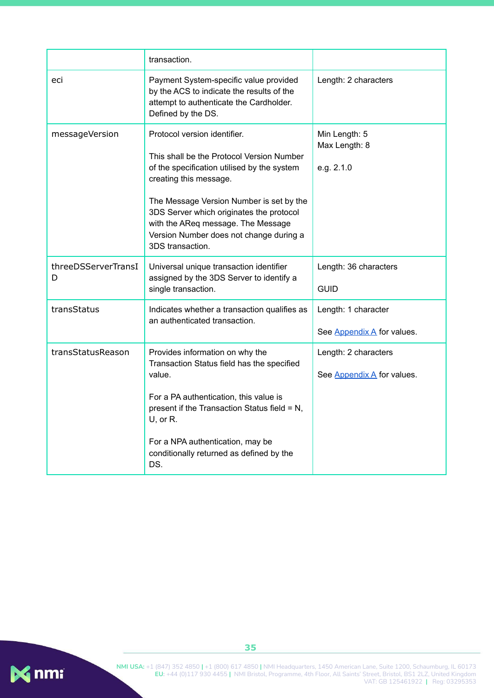|                          | transaction.                                                                                                                                                                                                                                                                                                                                    |                                                    |
|--------------------------|-------------------------------------------------------------------------------------------------------------------------------------------------------------------------------------------------------------------------------------------------------------------------------------------------------------------------------------------------|----------------------------------------------------|
| eci                      | Payment System-specific value provided<br>by the ACS to indicate the results of the<br>attempt to authenticate the Cardholder.<br>Defined by the DS.                                                                                                                                                                                            | Length: 2 characters                               |
| messageVersion           | Protocol version identifier.<br>This shall be the Protocol Version Number<br>of the specification utilised by the system<br>creating this message.<br>The Message Version Number is set by the<br>3DS Server which originates the protocol<br>with the AReq message. The Message<br>Version Number does not change during a<br>3DS transaction. | Min Length: 5<br>Max Length: 8<br>e.g. 2.1.0       |
| threeDSServerTransI<br>D | Universal unique transaction identifier<br>assigned by the 3DS Server to identify a<br>single transaction.                                                                                                                                                                                                                                      | Length: 36 characters<br><b>GUID</b>               |
| transStatus              | Indicates whether a transaction qualifies as<br>an authenticated transaction.                                                                                                                                                                                                                                                                   | Length: 1 character<br>See Appendix A for values.  |
| transStatusReason        | Provides information on why the<br>Transaction Status field has the specified<br>value.<br>For a PA authentication, this value is<br>present if the Transaction Status field = N,<br>$U$ , or R.<br>For a NPA authentication, may be<br>conditionally returned as defined by the<br>DS.                                                         | Length: 2 characters<br>See Appendix A for values. |

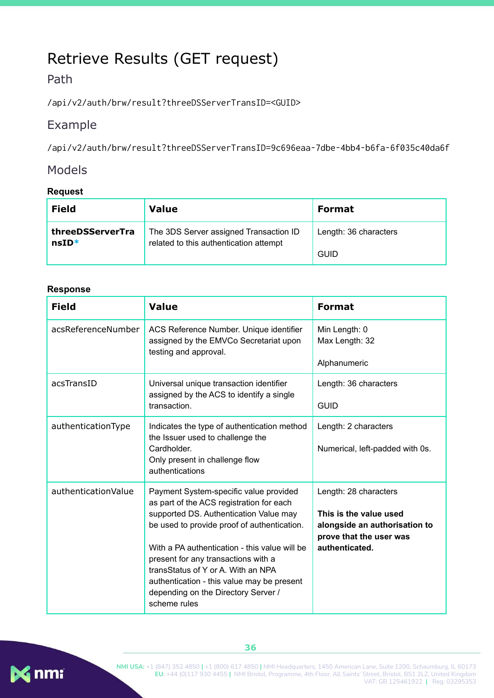# <span id="page-36-0"></span>Retrieve Results (GET request)

### <span id="page-36-1"></span>Path

/api/v2/auth/brw/result?threeDSServerTransID=<GUID>

### <span id="page-36-2"></span>Example

/api/v2/auth/brw/result?threeDSServerTransID=9c696eaa-7dbe-4bb4-b6fa-6f035c40da6f

#### <span id="page-36-3"></span>Models

#### <span id="page-36-4"></span>**Request**

| <b>Field</b>     | <b>Value</b>                           | <b>Format</b>         |
|------------------|----------------------------------------|-----------------------|
| threeDSServerTra | The 3DS Server assigned Transaction ID | Length: 36 characters |
| $nsID*$          | related to this authentication attempt | <b>GUID</b>           |

#### <span id="page-36-5"></span>**Response**

| <b>Field</b>        | <b>Value</b>                                                                                                                                                                                                                                                                                                                                                                                                   | <b>Format</b>                                                                                                                 |
|---------------------|----------------------------------------------------------------------------------------------------------------------------------------------------------------------------------------------------------------------------------------------------------------------------------------------------------------------------------------------------------------------------------------------------------------|-------------------------------------------------------------------------------------------------------------------------------|
| acsReferenceNumber  | ACS Reference Number. Unique identifier<br>assigned by the EMVCo Secretariat upon<br>testing and approval.                                                                                                                                                                                                                                                                                                     | Min Length: 0<br>Max Length: 32<br>Alphanumeric                                                                               |
| acsTransID          | Universal unique transaction identifier<br>assigned by the ACS to identify a single<br>transaction.                                                                                                                                                                                                                                                                                                            | Length: 36 characters<br><b>GUID</b>                                                                                          |
| authenticationType  | Indicates the type of authentication method<br>the Issuer used to challenge the<br>Cardholder.<br>Only present in challenge flow<br>authentications                                                                                                                                                                                                                                                            | Length: 2 characters<br>Numerical, left-padded with 0s.                                                                       |
| authenticationValue | Payment System-specific value provided<br>as part of the ACS registration for each<br>supported DS. Authentication Value may<br>be used to provide proof of authentication.<br>With a PA authentication - this value will be<br>present for any transactions with a<br>transStatus of Y or A. With an NPA<br>authentication - this value may be present<br>depending on the Directory Server /<br>scheme rules | Length: 28 characters<br>This is the value used<br>alongside an authorisation to<br>prove that the user was<br>authenticated. |



**36**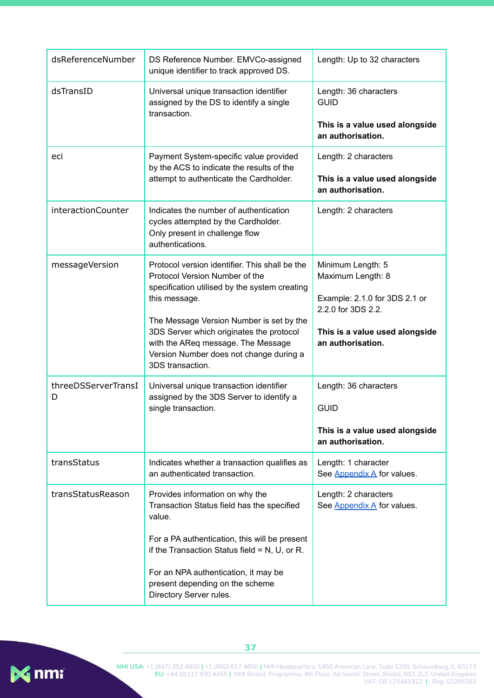| dsReferenceNumber        | DS Reference Number. EMVCo-assigned<br>unique identifier to track approved DS.                                                                                                                                                                                                                                                                  | Length: Up to 32 characters                                                                                                                          |
|--------------------------|-------------------------------------------------------------------------------------------------------------------------------------------------------------------------------------------------------------------------------------------------------------------------------------------------------------------------------------------------|------------------------------------------------------------------------------------------------------------------------------------------------------|
| dsTransID                | Universal unique transaction identifier<br>assigned by the DS to identify a single<br>transaction.                                                                                                                                                                                                                                              | Length: 36 characters<br><b>GUID</b><br>This is a value used alongside<br>an authorisation.                                                          |
| eci                      | Payment System-specific value provided<br>by the ACS to indicate the results of the<br>attempt to authenticate the Cardholder.                                                                                                                                                                                                                  | Length: 2 characters<br>This is a value used alongside<br>an authorisation.                                                                          |
| interactionCounter       | Indicates the number of authentication<br>cycles attempted by the Cardholder.<br>Only present in challenge flow<br>authentications.                                                                                                                                                                                                             | Length: 2 characters                                                                                                                                 |
| messageVersion           | Protocol version identifier. This shall be the<br>Protocol Version Number of the<br>specification utilised by the system creating<br>this message.<br>The Message Version Number is set by the<br>3DS Server which originates the protocol<br>with the AReq message. The Message<br>Version Number does not change during a<br>3DS transaction. | Minimum Length: 5<br>Maximum Length: 8<br>Example: 2.1.0 for 3DS 2.1 or<br>2.2.0 for 3DS 2.2.<br>This is a value used alongside<br>an authorisation. |
| threeDSServerTransI<br>D | Universal unique transaction identifier<br>assigned by the 3DS Server to identify a<br>single transaction.                                                                                                                                                                                                                                      | Length: 36 characters<br><b>GUID</b><br>This is a value used alongside<br>an authorisation.                                                          |
| transStatus              | Indicates whether a transaction qualifies as<br>an authenticated transaction.                                                                                                                                                                                                                                                                   | Length: 1 character<br>See Appendix A for values.                                                                                                    |
| transStatusReason        | Provides information on why the<br>Transaction Status field has the specified<br>value.<br>For a PA authentication, this will be present<br>if the Transaction Status field = $N$ , U, or R.<br>For an NPA authentication, it may be<br>present depending on the scheme<br>Directory Server rules.                                              | Length: 2 characters<br>See Appendix A for values.                                                                                                   |

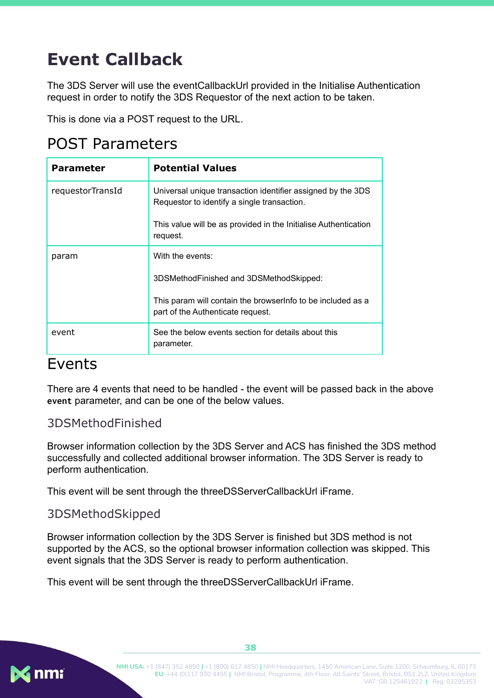# <span id="page-38-0"></span>**Event Callback**

The 3DS Server will use the eventCallbackUrl provided in the Initialise Authentication request in order to notify the 3DS Requestor of the next action to be taken.

This is done via a POST request to the URL.

## <span id="page-38-1"></span>POST Parameters

| <b>Parameter</b> | <b>Potential Values</b>                                                                                    |
|------------------|------------------------------------------------------------------------------------------------------------|
| requestorTransId | Universal unique transaction identifier assigned by the 3DS<br>Requestor to identify a single transaction. |
|                  | This value will be as provided in the Initialise Authentication<br>request.                                |
| param            | With the events:                                                                                           |
|                  | 3DSMethodFinished and 3DSMethodSkipped:                                                                    |
|                  | This param will contain the browser nfo to be included as a<br>part of the Authenticate request.           |
| event            | See the below events section for details about this<br>parameter.                                          |

## <span id="page-38-2"></span>Events

There are 4 events that need to be handled - the event will be passed back in the above **event** parameter, and can be one of the below values.

#### <span id="page-38-3"></span>3DSMethodFinished

Browser information collection by the 3DS Server and ACS has finished the 3DS method successfully and collected additional browser information. The 3DS Server is ready to perform authentication.

This event will be sent through the threeDSServerCallbackUrl iFrame.

#### <span id="page-38-4"></span>3DSMethodSkipped

Browser information collection by the 3DS Server is finished but 3DS method is not supported by the ACS, so the optional browser information collection was skipped. This event signals that the 3DS Server is ready to perform authentication.

This event will be sent through the threeDSServerCallbackUrl iFrame.

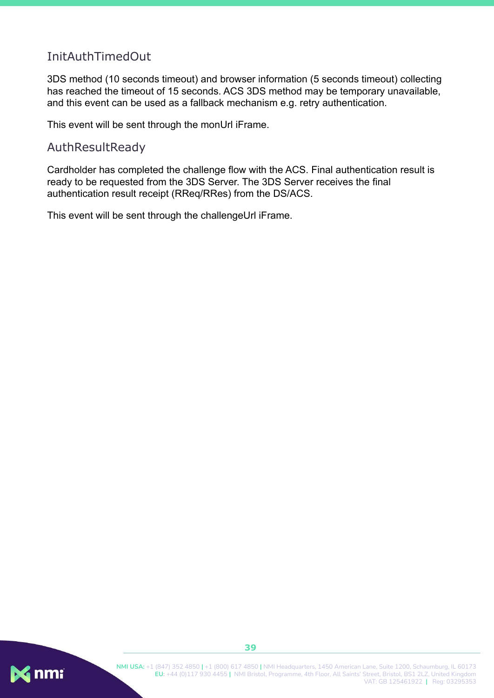### <span id="page-39-0"></span>InitAuthTimedOut

3DS method (10 seconds timeout) and browser information (5 seconds timeout) collecting has reached the timeout of 15 seconds. ACS 3DS method may be temporary unavailable, and this event can be used as a fallback mechanism e.g. retry authentication.

This event will be sent through the monUrl iFrame.

#### <span id="page-39-1"></span>AuthResultReady

Cardholder has completed the challenge flow with the ACS. Final authentication result is ready to be requested from the 3DS Server. The 3DS Server receives the final authentication result receipt (RReq/RRes) from the DS/ACS.

This event will be sent through the challengeUrl iFrame.

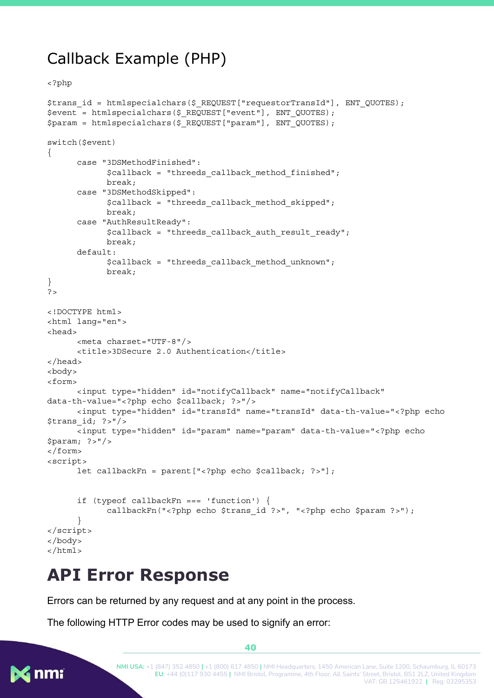## <span id="page-40-0"></span>Callback Example (PHP)

```
<?php
```

```
$trans_id = htmlspecialchars($_REQUEST["requestorTransId"], ENT_QUOTES);
$event = htmlspecialchars($_REQUEST["event"], ENT_QUOTES);
$param = htmlspecialchars($_REQUEST["param"], ENT_QUOTES);
switch($event)
{
      case "3DSMethodFinished":
            $callback = "threeds_callback_method_finished";
            break;
      case "3DSMethodSkipped":
            $callback = "threeds_callback_method_skipped";
            break;
      case "AuthResultReady":
            $callback = "threeds callback auth result ready";
            break;
      default:
            $callback = "threeds_callback_method_unknown";
            break;
}
?>
<!DOCTYPE html>
<html lang="en">
<head>
      <meta charset="UTF-8"/>
      <title>3DSecure 2.0 Authentication</title>
</head>
<body>
<form>
      <input type="hidden" id="notifyCallback" name="notifyCallback"
data-th-value="<?php echo $callback; ?>"/>
      <input type="hidden" id="transId" name="transId" data-th-value="<?php echo
$trans_id; ?>"/>
      <input type="hidden" id="param" name="param" data-th-value="<?php echo
$param; ?>"/>
</form>
<script>
      let callbackFn = parent["<?php echo $callback; ?>"];
      if (typeof callbackFn === 'function') {
            callbackFn("<?php echo $trans_id ?>", "<?php echo $param ?>");
      }
</script>
</body>
</html>
```
# <span id="page-40-1"></span>**API Error Response**

Errors can be returned by any request and at any point in the process.

The following HTTP Error codes may be used to signify an error:



**40**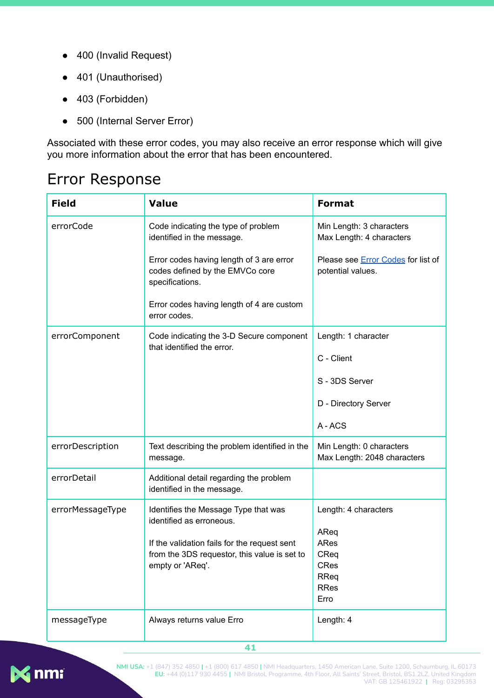- 400 (Invalid Request)
- 401 (Unauthorised)
- 403 (Forbidden)
- 500 (Internal Server Error)

Associated with these error codes, you may also receive an error response which will give you more information about the error that has been encountered.

## <span id="page-41-0"></span>Error Response

| <b>Field</b>     | <b>Value</b>                                                                                                     | <b>Format</b>                                                  |
|------------------|------------------------------------------------------------------------------------------------------------------|----------------------------------------------------------------|
| errorCode        | Code indicating the type of problem<br>identified in the message.                                                | Min Length: 3 characters<br>Max Length: 4 characters           |
|                  | Error codes having length of 3 are error<br>codes defined by the EMVCo core<br>specifications.                   | Please see <b>Error Codes</b> for list of<br>potential values. |
|                  | Error codes having length of 4 are custom<br>error codes.                                                        |                                                                |
| errorComponent   | Code indicating the 3-D Secure component<br>that identified the error.                                           | Length: 1 character                                            |
|                  |                                                                                                                  | C - Client                                                     |
|                  |                                                                                                                  | S - 3DS Server                                                 |
|                  |                                                                                                                  | D - Directory Server                                           |
|                  |                                                                                                                  | A-ACS                                                          |
| errorDescription | Text describing the problem identified in the<br>message.                                                        | Min Length: 0 characters<br>Max Length: 2048 characters        |
| errorDetail      | Additional detail regarding the problem<br>identified in the message.                                            |                                                                |
| errorMessageType | Identifies the Message Type that was<br>identified as erroneous.<br>If the validation fails for the request sent | Length: 4 characters<br>AReq<br>ARes                           |
|                  | from the 3DS requestor, this value is set to                                                                     | CReq                                                           |
|                  | empty or 'AReq'.                                                                                                 | <b>CRes</b><br><b>RReq</b>                                     |
|                  |                                                                                                                  | <b>RRes</b><br>Erro                                            |
| messageType      | Always returns value Erro                                                                                        | Length: 4                                                      |

**41**

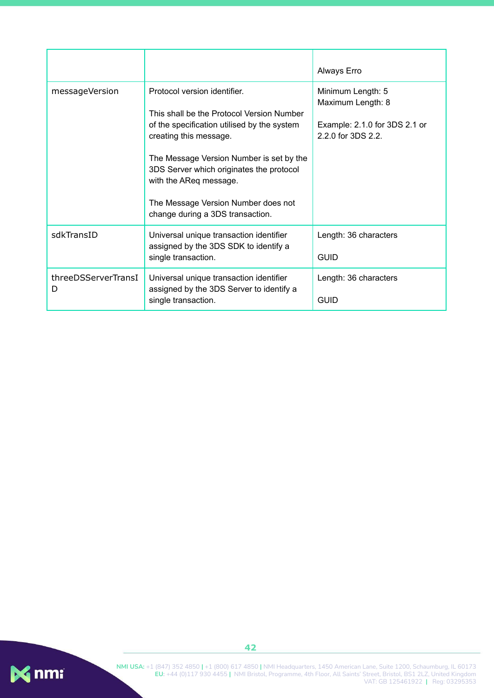|                          |                                                                                                                                                                                                                                                                      | Always Erro                                                                                   |
|--------------------------|----------------------------------------------------------------------------------------------------------------------------------------------------------------------------------------------------------------------------------------------------------------------|-----------------------------------------------------------------------------------------------|
| messageVersion           | Protocol version identifier.<br>This shall be the Protocol Version Number<br>of the specification utilised by the system<br>creating this message.<br>The Message Version Number is set by the<br>3DS Server which originates the protocol<br>with the AReq message. | Minimum Length: 5<br>Maximum Length: 8<br>Example: 2.1.0 for 3DS 2.1 or<br>2.2.0 for 3DS 2.2. |
|                          | The Message Version Number does not<br>change during a 3DS transaction.                                                                                                                                                                                              |                                                                                               |
| sdkTransID               | Universal unique transaction identifier<br>assigned by the 3DS SDK to identify a<br>single transaction.                                                                                                                                                              | Length: 36 characters<br><b>GUID</b>                                                          |
| threeDSServerTransI<br>D | Universal unique transaction identifier<br>assigned by the 3DS Server to identify a<br>single transaction.                                                                                                                                                           | Length: 36 characters<br>GUID                                                                 |

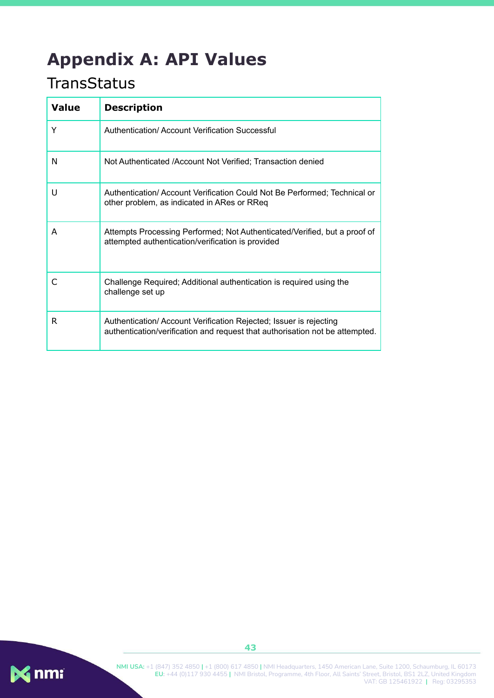# <span id="page-43-0"></span>**Appendix A: API Values**

# <span id="page-43-1"></span>**TransStatus**

| <b>Value</b> | <b>Description</b>                                                                                                                                |
|--------------|---------------------------------------------------------------------------------------------------------------------------------------------------|
| Y            | Authentication/Account Verification Successful                                                                                                    |
| N            | Not Authenticated /Account Not Verified; Transaction denied                                                                                       |
| U            | Authentication/ Account Verification Could Not Be Performed; Technical or<br>other problem, as indicated in ARes or RReq                          |
| A            | Attempts Processing Performed; Not Authenticated/Verified, but a proof of<br>attempted authentication/verification is provided                    |
|              | Challenge Required; Additional authentication is required using the<br>challenge set up                                                           |
| R            | Authentication/Account Verification Rejected; Issuer is rejecting<br>authentication/verification and request that authorisation not be attempted. |

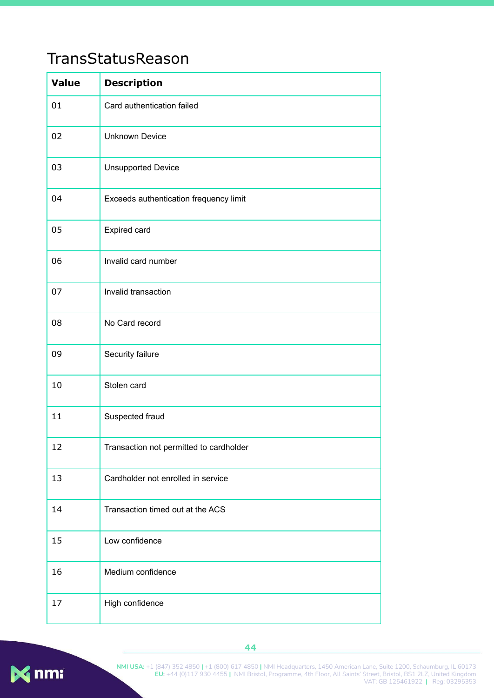## <span id="page-44-0"></span>TransStatusReason

| <b>Value</b> | <b>Description</b>                      |
|--------------|-----------------------------------------|
| 01           | Card authentication failed              |
| 02           | <b>Unknown Device</b>                   |
| 03           | <b>Unsupported Device</b>               |
| 04           | Exceeds authentication frequency limit  |
| 05           | Expired card                            |
| 06           | Invalid card number                     |
| 07           | Invalid transaction                     |
| 08           | No Card record                          |
| 09           | Security failure                        |
| 10           | Stolen card                             |
| 11           | Suspected fraud                         |
| 12           | Transaction not permitted to cardholder |
| 13           | Cardholder not enrolled in service      |
| 14           | Transaction timed out at the ACS        |
| 15           | Low confidence                          |
| 16           | Medium confidence                       |
| 17           | High confidence                         |

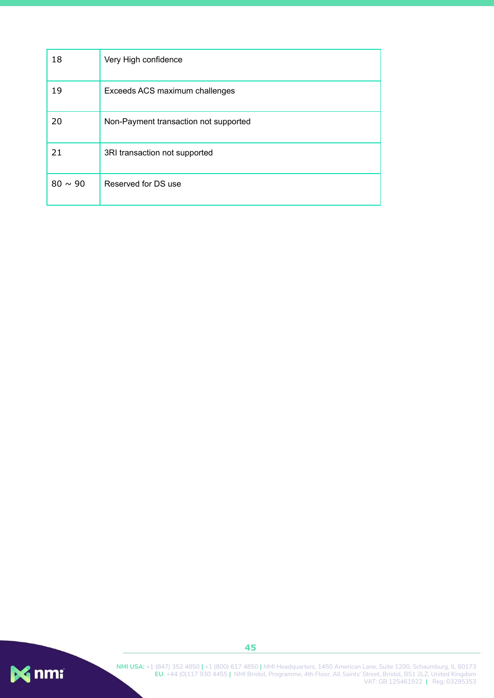| 18           | Very High confidence                  |
|--------------|---------------------------------------|
| 19           | Exceeds ACS maximum challenges        |
| 20           | Non-Payment transaction not supported |
| 21           | 3RI transaction not supported         |
| $80 \sim 90$ | Reserved for DS use                   |

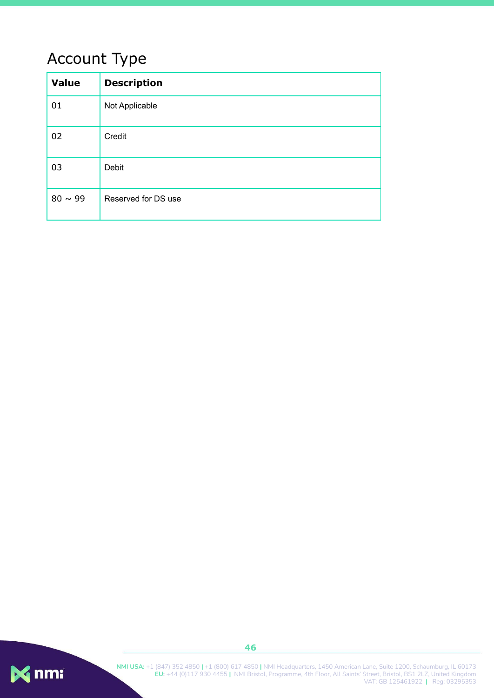# <span id="page-46-0"></span>Account Type

| <b>Value</b> | <b>Description</b>  |
|--------------|---------------------|
| 01           | Not Applicable      |
| 02           | Credit              |
| 03           | Debit               |
| $80 \sim 99$ | Reserved for DS use |

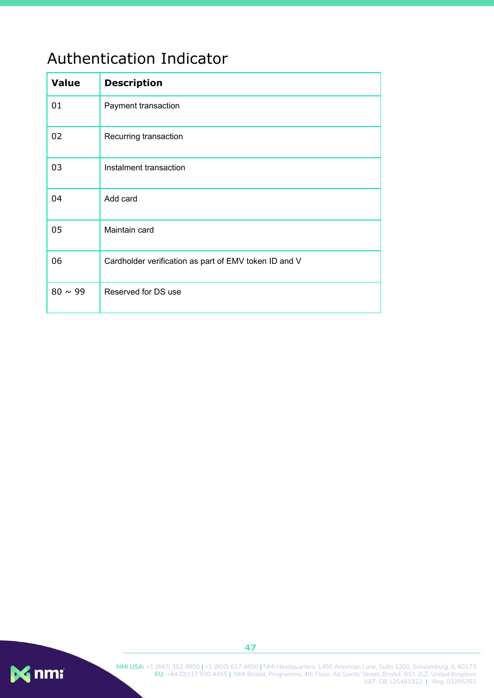## <span id="page-47-0"></span>Authentication Indicator

| <b>Value</b> | <b>Description</b>                                    |
|--------------|-------------------------------------------------------|
| 01           | Payment transaction                                   |
| 02           | Recurring transaction                                 |
| 03           | Instalment transaction                                |
| 04           | Add card                                              |
| 05           | Maintain card                                         |
| 06           | Cardholder verification as part of EMV token ID and V |
| $80 \sim 99$ | Reserved for DS use                                   |

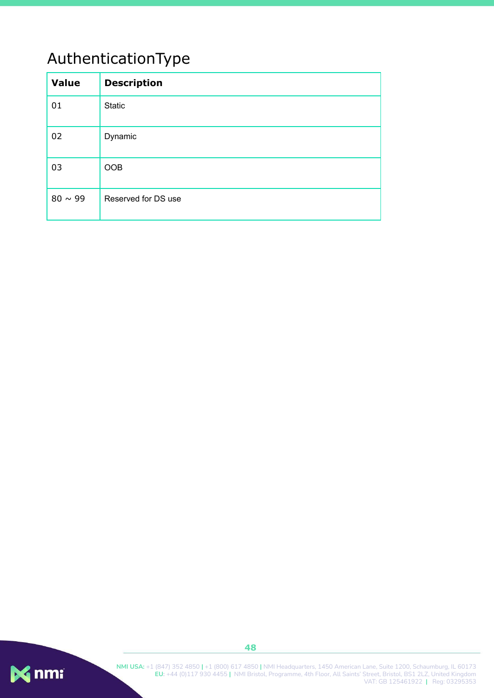# <span id="page-48-0"></span>AuthenticationType

| <b>Value</b> | <b>Description</b>  |
|--------------|---------------------|
| 01           | <b>Static</b>       |
| 02           | Dynamic             |
| 03           | <b>OOB</b>          |
| $80 \sim 99$ | Reserved for DS use |

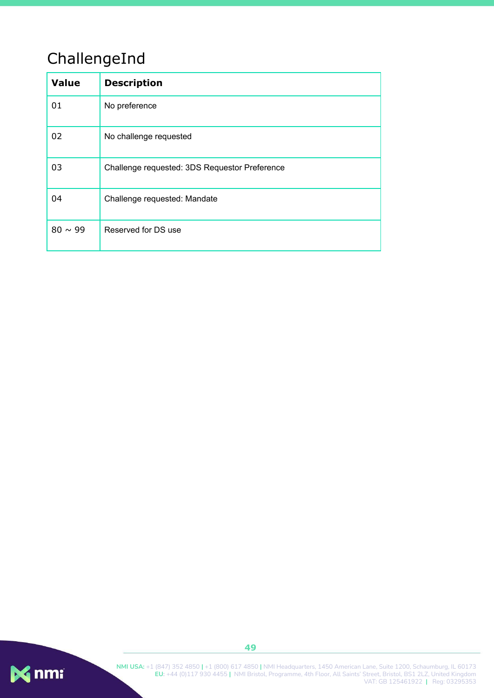# <span id="page-49-0"></span>ChallengeInd

| <b>Value</b> | <b>Description</b>                            |  |
|--------------|-----------------------------------------------|--|
| 01           | No preference                                 |  |
| 02           | No challenge requested                        |  |
| 03           | Challenge requested: 3DS Requestor Preference |  |
| 04           | Challenge requested: Mandate                  |  |
| $80 \sim 99$ | Reserved for DS use                           |  |



**49**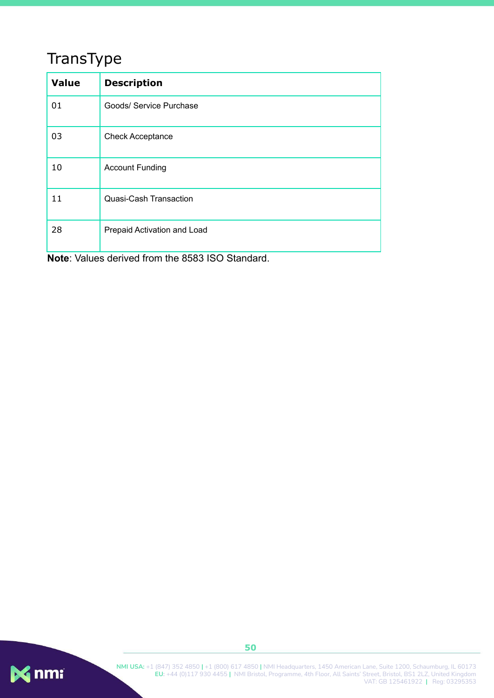# <span id="page-50-0"></span>TransType

| <b>Value</b> | <b>Description</b>          |  |
|--------------|-----------------------------|--|
| 01           | Goods/ Service Purchase     |  |
| 03           | <b>Check Acceptance</b>     |  |
| 10           | <b>Account Funding</b>      |  |
| 11           | Quasi-Cash Transaction      |  |
| 28           | Prepaid Activation and Load |  |

**Note**: Values derived from the 8583 ISO Standard.

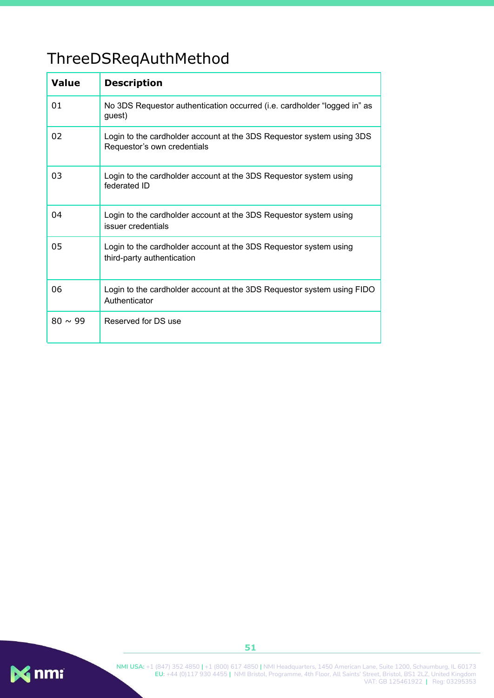# <span id="page-51-0"></span>ThreeDSReqAuthMethod

| <b>Value</b> | <b>Description</b>                                                                                   |  |
|--------------|------------------------------------------------------------------------------------------------------|--|
| 01           | No 3DS Requestor authentication occurred (i.e. cardholder "logged in" as<br>quest)                   |  |
| 02           | Login to the cardholder account at the 3DS Requestor system using 3DS<br>Requestor's own credentials |  |
| 03           | Login to the cardholder account at the 3DS Requestor system using<br>federated ID                    |  |
| 04           | Login to the cardholder account at the 3DS Requestor system using<br>issuer credentials              |  |
| 05           | Login to the cardholder account at the 3DS Requestor system using<br>third-party authentication      |  |
| 06           | Login to the cardholder account at the 3DS Requestor system using FIDO<br>Authenticator              |  |
| $80 \sim 99$ | Reserved for DS use                                                                                  |  |



**NMI USA:** +1 (847) 352 4850 **|** +1 (800) 617 4850 **|** NMI Headquarters, 1450 American Lane, Suite 1200, Schaumburg, IL 60173 **EU:** +44 (0)117 930 4455 **|** NMI Bristol, Programme, 4th Floor, All Saints' Street, Bristol, BS1 2LZ, United Kingdom VAT: GB 125461922 **|** Reg: 03295353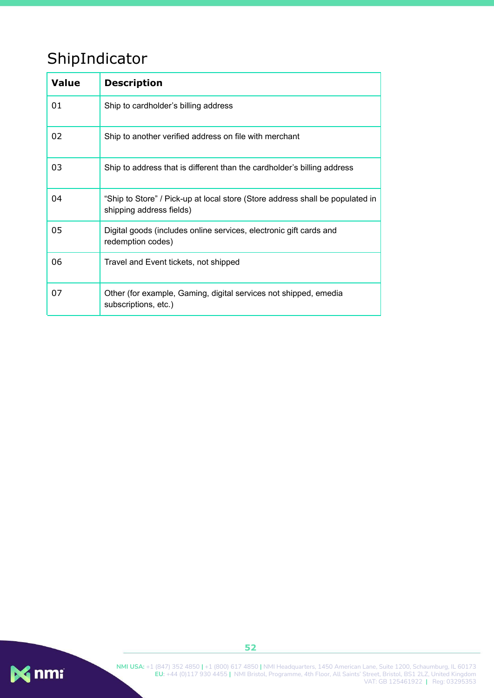# <span id="page-52-0"></span>ShipIndicator

| <b>Value</b> | <b>Description</b>                                                                                        |  |  |
|--------------|-----------------------------------------------------------------------------------------------------------|--|--|
| 01           | Ship to cardholder's billing address                                                                      |  |  |
| 02           | Ship to another verified address on file with merchant                                                    |  |  |
| 03           | Ship to address that is different than the cardholder's billing address                                   |  |  |
| 04           | "Ship to Store" / Pick-up at local store (Store address shall be populated in<br>shipping address fields) |  |  |
| 05           | Digital goods (includes online services, electronic gift cards and<br>redemption codes)                   |  |  |
| 06           | Travel and Event tickets, not shipped                                                                     |  |  |
| 07           | Other (for example, Gaming, digital services not shipped, emedia<br>subscriptions, etc.)                  |  |  |

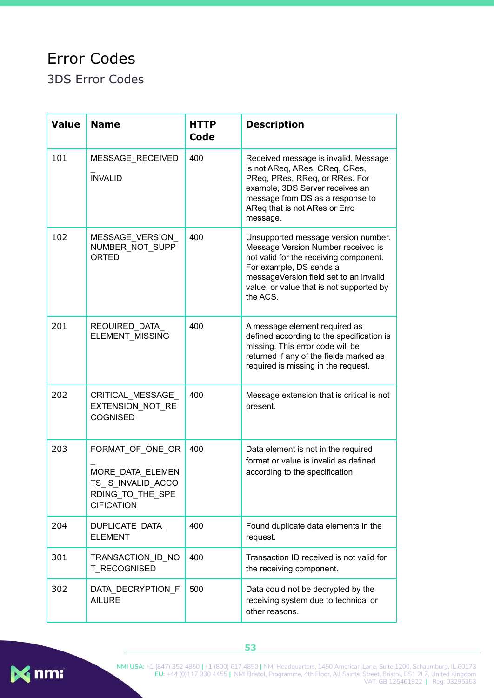# <span id="page-53-0"></span>Error Codes

<span id="page-53-1"></span>3DS Error Codes

| <b>Value</b> | <b>Name</b>                                                                                         | <b>HTTP</b><br>Code | <b>Description</b>                                                                                                                                                                                                                               |
|--------------|-----------------------------------------------------------------------------------------------------|---------------------|--------------------------------------------------------------------------------------------------------------------------------------------------------------------------------------------------------------------------------------------------|
| 101          | MESSAGE RECEIVED<br><b>INVALID</b>                                                                  | 400                 | Received message is invalid. Message<br>is not AReq, ARes, CReq, CRes,<br>PReq, PRes, RReq, or RRes. For<br>example, 3DS Server receives an<br>message from DS as a response to<br>AReq that is not ARes or Erro<br>message.                     |
| 102          | MESSAGE_VERSION_<br>NUMBER_NOT_SUPP<br><b>ORTED</b>                                                 | 400                 | Unsupported message version number.<br>Message Version Number received is<br>not valid for the receiving component.<br>For example, DS sends a<br>messageVersion field set to an invalid<br>value, or value that is not supported by<br>the ACS. |
| 201          | REQUIRED_DATA<br>ELEMENT_MISSING                                                                    | 400                 | A message element required as<br>defined according to the specification is<br>missing. This error code will be<br>returned if any of the fields marked as<br>required is missing in the request.                                                 |
| 202          | CRITICAL_MESSAGE_<br>EXTENSION NOT RE<br><b>COGNISED</b>                                            | 400                 | Message extension that is critical is not<br>present.                                                                                                                                                                                            |
| 203          | FORMAT_OF_ONE_OR<br>MORE_DATA_ELEMEN<br>TS IS INVALID ACCO<br>RDING_TO_THE_SPE<br><b>CIFICATION</b> | 400                 | Data element is not in the required<br>format or value is invalid as defined<br>according to the specification.                                                                                                                                  |
| 204          | DUPLICATE_DATA_<br><b>ELEMENT</b>                                                                   | 400                 | Found duplicate data elements in the<br>request.                                                                                                                                                                                                 |
| 301          | TRANSACTION_ID_NO<br>T RECOGNISED                                                                   | 400                 | Transaction ID received is not valid for<br>the receiving component.                                                                                                                                                                             |
| 302          | DATA_DECRYPTION_F<br><b>AILURE</b>                                                                  | 500                 | Data could not be decrypted by the<br>receiving system due to technical or<br>other reasons.                                                                                                                                                     |

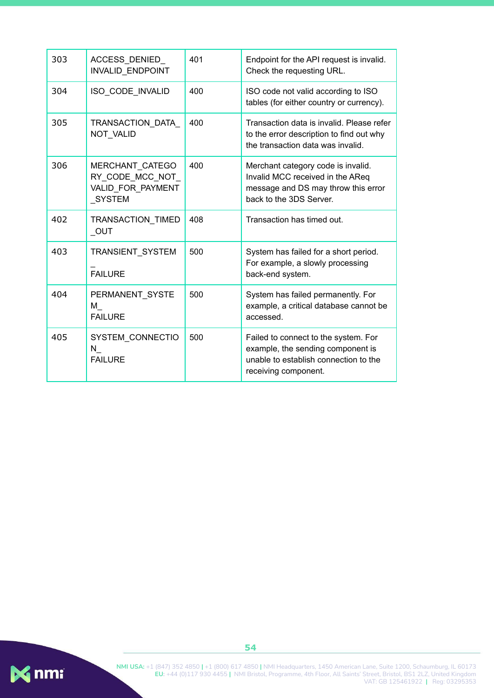| 303 | ACCESS DENIED<br><b>INVALID ENDPOINT</b>                                 | 401 | Endpoint for the API request is invalid.<br>Check the requesting URL.                                                                      |
|-----|--------------------------------------------------------------------------|-----|--------------------------------------------------------------------------------------------------------------------------------------------|
| 304 | ISO_CODE_INVALID                                                         | 400 | ISO code not valid according to ISO<br>tables (for either country or currency).                                                            |
| 305 | TRANSACTION DATA<br>NOT_VALID                                            | 400 | Transaction data is invalid. Please refer<br>to the error description to find out why<br>the transaction data was invalid.                 |
| 306 | MERCHANT CATEGO<br>RY CODE MCC NOT<br>VALID FOR PAYMENT<br><b>SYSTEM</b> | 400 | Merchant category code is invalid.<br>Invalid MCC received in the AReq<br>message and DS may throw this error<br>back to the 3DS Server.   |
| 402 | TRANSACTION_TIMED<br>OUT                                                 | 408 | Transaction has timed out.                                                                                                                 |
| 403 | TRANSIENT SYSTEM<br><b>FAILURE</b>                                       | 500 | System has failed for a short period.<br>For example, a slowly processing<br>back-end system.                                              |
| 404 | PERMANENT SYSTE<br>M<br><b>FAILURE</b>                                   | 500 | System has failed permanently. For<br>example, a critical database cannot be<br>accessed.                                                  |
| 405 | SYSTEM CONNECTIO<br>N,<br><b>FAILURE</b>                                 | 500 | Failed to connect to the system. For<br>example, the sending component is<br>unable to establish connection to the<br>receiving component. |

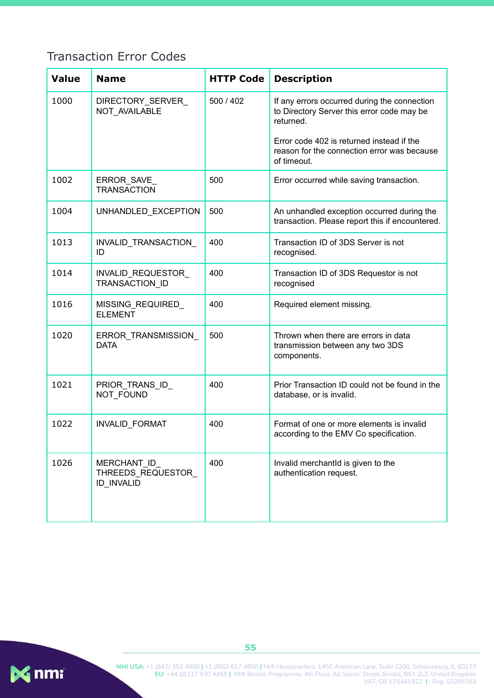### <span id="page-55-0"></span>Transaction Error Codes

| <b>Value</b> | <b>Name</b>                                            | <b>HTTP Code</b> | <b>Description</b>                                                                                      |
|--------------|--------------------------------------------------------|------------------|---------------------------------------------------------------------------------------------------------|
| 1000         | DIRECTORY SERVER<br>NOT_AVAILABLE                      | 500 / 402        | If any errors occurred during the connection<br>to Directory Server this error code may be<br>returned. |
|              |                                                        |                  | Error code 402 is returned instead if the<br>reason for the connection error was because<br>of timeout. |
| 1002         | ERROR_SAVE_<br><b>TRANSACTION</b>                      | 500              | Error occurred while saving transaction.                                                                |
| 1004         | UNHANDLED_EXCEPTION                                    | 500              | An unhandled exception occurred during the<br>transaction. Please report this if encountered.           |
| 1013         | INVALID_TRANSACTION_<br>ID                             | 400              | Transaction ID of 3DS Server is not<br>recognised.                                                      |
| 1014         | INVALID_REQUESTOR_<br>TRANSACTION ID                   | 400              | Transaction ID of 3DS Requestor is not<br>recognised                                                    |
| 1016         | MISSING REQUIRED<br><b>ELEMENT</b>                     | 400              | Required element missing.                                                                               |
| 1020         | ERROR_TRANSMISSION_<br><b>DATA</b>                     | 500              | Thrown when there are errors in data<br>transmission between any two 3DS<br>components.                 |
| 1021         | PRIOR_TRANS_ID_<br>NOT_FOUND                           | 400              | Prior Transaction ID could not be found in the<br>database, or is invalid.                              |
| 1022         | INVALID_FORMAT                                         | 400              | Format of one or more elements is invalid<br>according to the EMV Co specification.                     |
| 1026         | MERCHANT ID<br>THREEDS_REQUESTOR_<br><b>ID INVALID</b> | 400              | Invalid merchantId is given to the<br>authentication request.                                           |

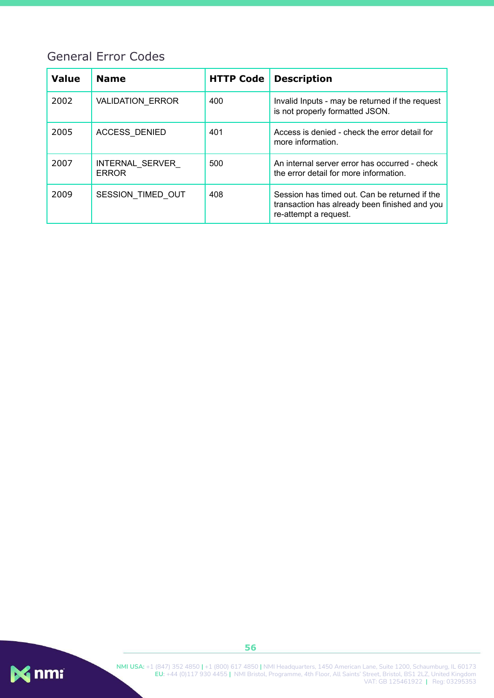### <span id="page-56-0"></span>General Error Codes

| <b>Value</b> | <b>Name</b>                     | <b>HTTP Code</b> | <b>Description</b>                                                                                                      |
|--------------|---------------------------------|------------------|-------------------------------------------------------------------------------------------------------------------------|
| 2002         | VALIDATION_ERROR                | 400              | Invalid Inputs - may be returned if the request<br>is not properly formatted JSON.                                      |
| 2005         | <b>ACCESS DENIED</b>            | 401              | Access is denied - check the error detail for<br>more information.                                                      |
| 2007         | INTERNAL SERVER<br><b>ERROR</b> | 500              | An internal server error has occurred - check<br>the error detail for more information.                                 |
| 2009         | SESSION TIMED OUT               | 408              | Session has timed out. Can be returned if the<br>transaction has already been finished and you<br>re-attempt a request. |

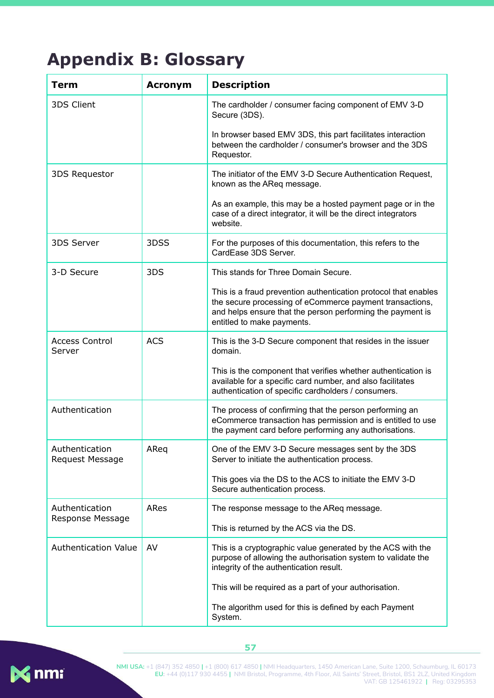# <span id="page-57-0"></span>**Appendix B: Glossary**

| Term                               | <b>Acronym</b> | <b>Description</b>                                                                                                                                                                                                      |
|------------------------------------|----------------|-------------------------------------------------------------------------------------------------------------------------------------------------------------------------------------------------------------------------|
| 3DS Client                         |                | The cardholder / consumer facing component of EMV 3-D<br>Secure (3DS).                                                                                                                                                  |
|                                    |                | In browser based EMV 3DS, this part facilitates interaction<br>between the cardholder / consumer's browser and the 3DS<br>Requestor.                                                                                    |
| 3DS Requestor                      |                | The initiator of the EMV 3-D Secure Authentication Request,<br>known as the AReq message.                                                                                                                               |
|                                    |                | As an example, this may be a hosted payment page or in the<br>case of a direct integrator, it will be the direct integrators<br>website.                                                                                |
| 3DS Server                         | 3DSS           | For the purposes of this documentation, this refers to the<br>CardEase 3DS Server.                                                                                                                                      |
| 3-D Secure                         | 3DS            | This stands for Three Domain Secure.                                                                                                                                                                                    |
|                                    |                | This is a fraud prevention authentication protocol that enables<br>the secure processing of eCommerce payment transactions,<br>and helps ensure that the person performing the payment is<br>entitled to make payments. |
| <b>Access Control</b><br>Server    | <b>ACS</b>     | This is the 3-D Secure component that resides in the issuer<br>domain.                                                                                                                                                  |
|                                    |                | This is the component that verifies whether authentication is<br>available for a specific card number, and also facilitates<br>authentication of specific cardholders / consumers.                                      |
| Authentication                     |                | The process of confirming that the person performing an<br>eCommerce transaction has permission and is entitled to use<br>the payment card before performing any authorisations.                                        |
| Authentication<br>Request Message  | AReq           | One of the EMV 3-D Secure messages sent by the 3DS<br>Server to initiate the authentication process.                                                                                                                    |
|                                    |                | This goes via the DS to the ACS to initiate the EMV 3-D<br>Secure authentication process.                                                                                                                               |
| Authentication<br>Response Message | ARes           | The response message to the AReq message.                                                                                                                                                                               |
|                                    |                | This is returned by the ACS via the DS.                                                                                                                                                                                 |
| <b>Authentication Value</b>        | AV             | This is a cryptographic value generated by the ACS with the<br>purpose of allowing the authorisation system to validate the<br>integrity of the authentication result.                                                  |
|                                    |                | This will be required as a part of your authorisation.                                                                                                                                                                  |
|                                    |                | The algorithm used for this is defined by each Payment<br>System.                                                                                                                                                       |

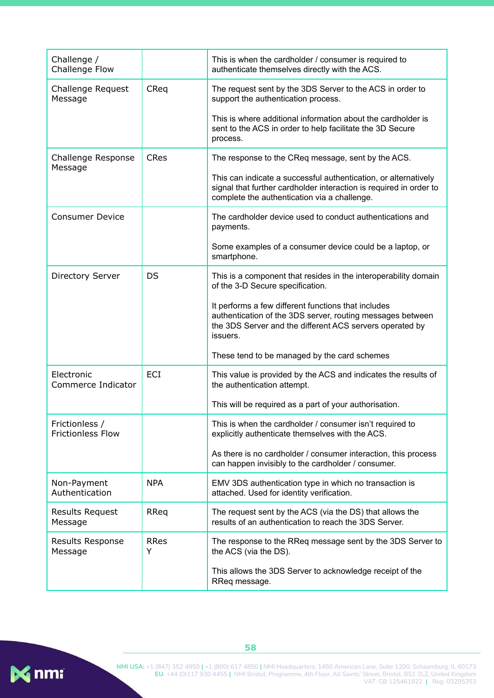| Challenge /<br>Challenge Flow              |                  | This is when the cardholder / consumer is required to<br>authenticate themselves directly with the ACS.                                                                                   |
|--------------------------------------------|------------------|-------------------------------------------------------------------------------------------------------------------------------------------------------------------------------------------|
| Challenge Request<br>Message               | CReq             | The request sent by the 3DS Server to the ACS in order to<br>support the authentication process.                                                                                          |
|                                            |                  | This is where additional information about the cardholder is<br>sent to the ACS in order to help facilitate the 3D Secure<br>process.                                                     |
| Challenge Response<br>Message              | <b>CRes</b>      | The response to the CReq message, sent by the ACS.                                                                                                                                        |
|                                            |                  | This can indicate a successful authentication, or alternatively<br>signal that further cardholder interaction is required in order to<br>complete the authentication via a challenge.     |
| <b>Consumer Device</b>                     |                  | The cardholder device used to conduct authentications and<br>payments.                                                                                                                    |
|                                            |                  | Some examples of a consumer device could be a laptop, or<br>smartphone.                                                                                                                   |
| <b>Directory Server</b>                    | DS               | This is a component that resides in the interoperability domain<br>of the 3-D Secure specification.                                                                                       |
|                                            |                  | It performs a few different functions that includes<br>authentication of the 3DS server, routing messages between<br>the 3DS Server and the different ACS servers operated by<br>issuers. |
|                                            |                  | These tend to be managed by the card schemes                                                                                                                                              |
| Electronic<br>Commerce Indicator           | ECI              | This value is provided by the ACS and indicates the results of<br>the authentication attempt.                                                                                             |
|                                            |                  | This will be required as a part of your authorisation.                                                                                                                                    |
| Frictionless /<br><b>Frictionless Flow</b> |                  | This is when the cardholder / consumer isn't required to<br>explicitly authenticate themselves with the ACS.                                                                              |
|                                            |                  | As there is no cardholder / consumer interaction, this process<br>can happen invisibly to the cardholder / consumer.                                                                      |
| Non-Payment<br>Authentication              | <b>NPA</b>       | EMV 3DS authentication type in which no transaction is<br>attached. Used for identity verification.                                                                                       |
| Results Request<br>Message                 | RReq             | The request sent by the ACS (via the DS) that allows the<br>results of an authentication to reach the 3DS Server.                                                                         |
| Results Response<br>Message                | <b>RRes</b><br>Y | The response to the RReq message sent by the 3DS Server to<br>the ACS (via the DS).                                                                                                       |
|                                            |                  | This allows the 3DS Server to acknowledge receipt of the<br>RReq message.                                                                                                                 |

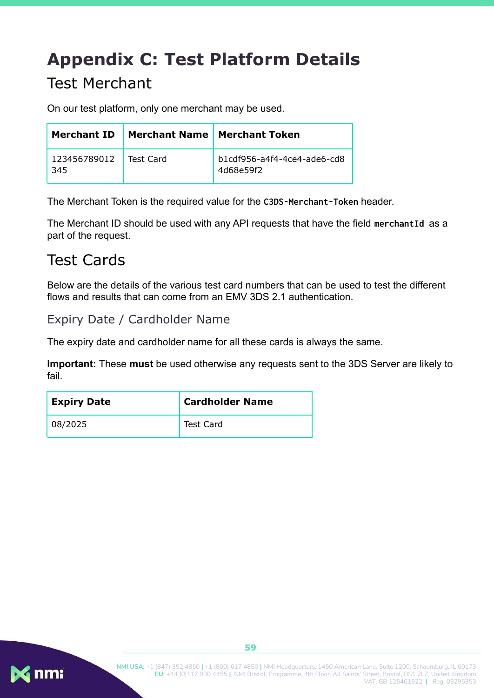# <span id="page-59-0"></span>**Appendix C: Test Platform Details**

## <span id="page-59-1"></span>Test Merchant

On our test platform, only one merchant may be used.

| <b>Merchant ID</b>  |           | Merchant Name   Merchant Token           |
|---------------------|-----------|------------------------------------------|
| 123456789012<br>345 | Test Card | b1cdf956-a4f4-4ce4-ade6-cd8<br>4d68e59f2 |

The Merchant Token is the required value for the **C3DS-Merchant-Token** header.

The Merchant ID should be used with any API requests that have the field **merchantId** as a part of the request.

## <span id="page-59-2"></span>Test Cards

Below are the details of the various test card numbers that can be used to test the different flows and results that can come from an EMV 3DS 2.1 authentication.

#### <span id="page-59-3"></span>Expiry Date / Cardholder Name

The expiry date and cardholder name for all these cards is always the same.

**Important:** These **must** be used otherwise any requests sent to the 3DS Server are likely to fail.

| <b>Expiry Date</b> | <b>Cardholder Name</b> |
|--------------------|------------------------|
| 08/2025            | Test Card              |

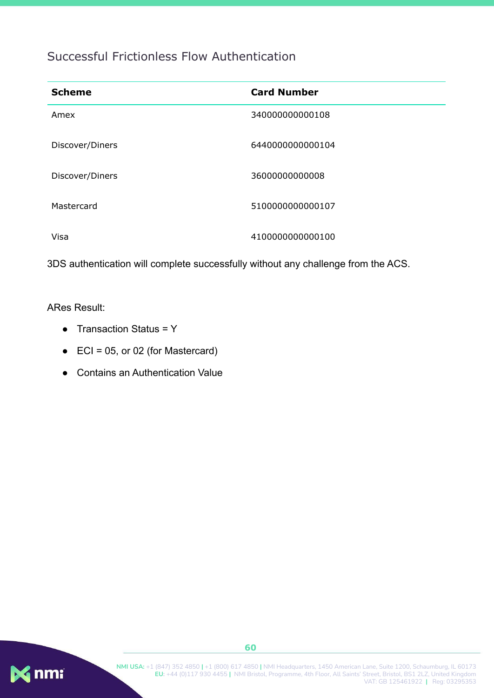### <span id="page-60-0"></span>Successful Frictionless Flow Authentication

| <b>Scheme</b>   | <b>Card Number</b> |
|-----------------|--------------------|
| Amex            | 340000000000108    |
| Discover/Diners | 6440000000000104   |
| Discover/Diners | 3600000000008      |
| Mastercard      | 5100000000000107   |
| Visa            | 4100000000000100   |

3DS authentication will complete successfully without any challenge from the ACS.

#### ARes Result:

- Transaction Status = Y
- $\bullet$  ECI = 05, or 02 (for Mastercard)
- Contains an Authentication Value

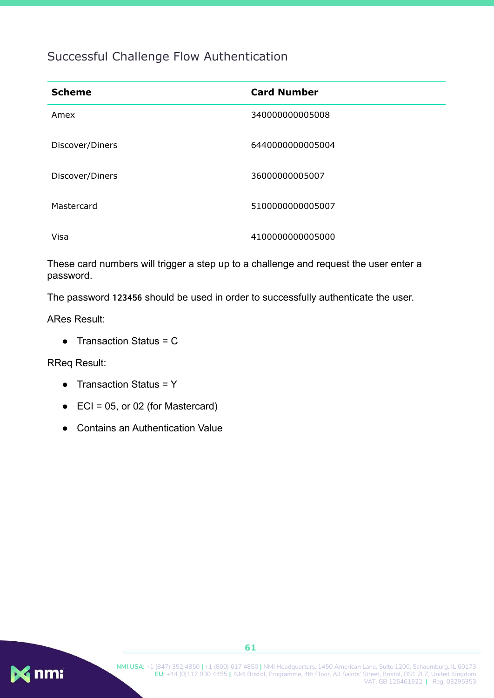### <span id="page-61-0"></span>Successful Challenge Flow Authentication

| <b>Scheme</b>   | <b>Card Number</b> |
|-----------------|--------------------|
| Amex            | 340000000005008    |
| Discover/Diners | 6440000000005004   |
| Discover/Diners | 36000000005007     |
| Mastercard      | 5100000000005007   |
| Visa            | 4100000000005000   |

These card numbers will trigger a step up to a challenge and request the user enter a password.

The password **123456** should be used in order to successfully authenticate the user.

ARes Result:

 $\bullet$  Transaction Status = C

RReq Result:

- Transaction Status = Y
- $\bullet$  ECI = 05, or 02 (for Mastercard)
- **Contains an Authentication Value**

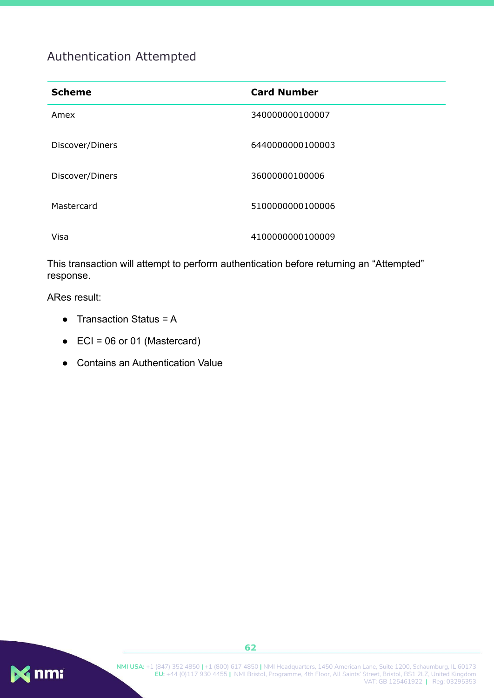## <span id="page-62-0"></span>Authentication Attempted

| <b>Scheme</b>   | <b>Card Number</b> |
|-----------------|--------------------|
| Amex            | 340000000100007    |
| Discover/Diners | 6440000000100003   |
| Discover/Diners | 36000000100006     |
| Mastercard      | 5100000000100006   |
| Visa            | 4100000000100009   |

This transaction will attempt to perform authentication before returning an "Attempted" response.

ARes result:

- $\bullet$  Transaction Status = A
- $\bullet$  ECI = 06 or 01 (Mastercard)
- Contains an Authentication Value

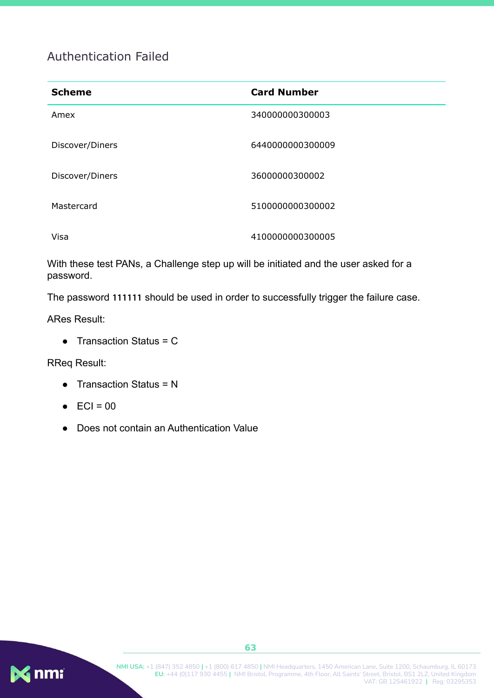### <span id="page-63-0"></span>Authentication Failed

| <b>Scheme</b>   | <b>Card Number</b> |
|-----------------|--------------------|
| Amex            | 340000000300003    |
| Discover/Diners | 6440000000300009   |
| Discover/Diners | 36000000300002     |
| Mastercard      | 5100000000300002   |
| Visa            | 4100000000300005   |

With these test PANs, a Challenge step up will be initiated and the user asked for a password.

The password **111111** should be used in order to successfully trigger the failure case.

ARes Result:

 $\bullet$  Transaction Status = C

RReq Result:

- $\bullet$  Transaction Status = N
- $\bullet$  ECI = 00
- Does not contain an Authentication Value

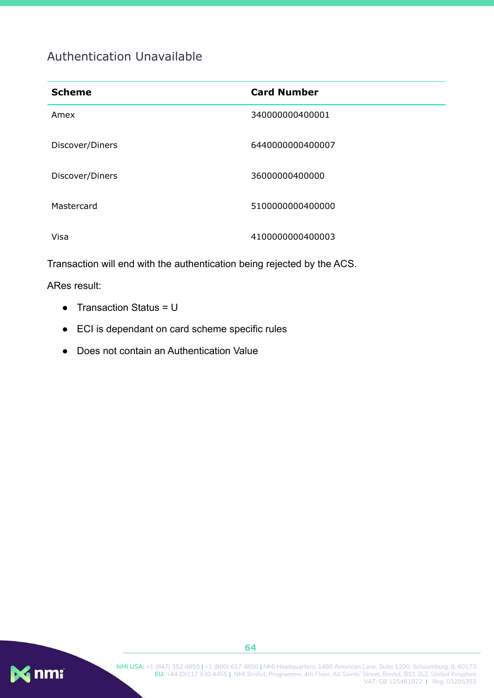### <span id="page-64-0"></span>Authentication Unavailable

| <b>Scheme</b>   | <b>Card Number</b> |
|-----------------|--------------------|
| Amex            | 340000000400001    |
| Discover/Diners | 6440000000400007   |
| Discover/Diners | 36000000400000     |
| Mastercard      | 5100000000400000   |
| Visa            | 4100000000400003   |

Transaction will end with the authentication being rejected by the ACS.

#### ARes result:

- $\bullet$  Transaction Status = U
- ECI is dependant on card scheme specific rules
- Does not contain an Authentication Value